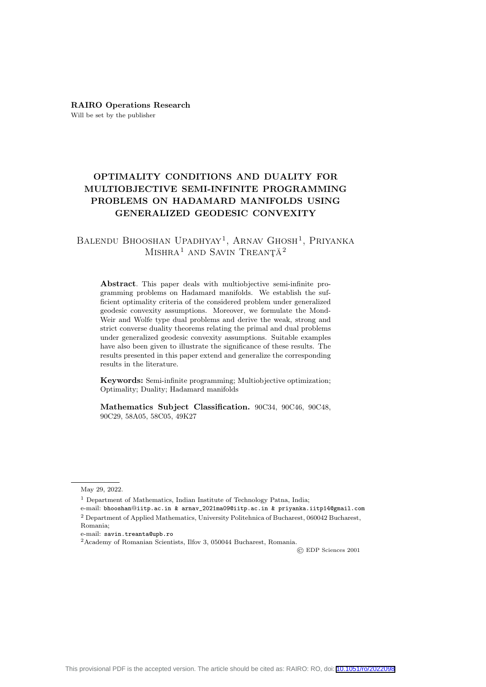RAIRO Operations Research Will be set by the publisher

# OPTIMALITY CONDITIONS AND DUALITY FOR MULTIOBJECTIVE SEMI-INFINITE PROGRAMMING PROBLEMS ON HADAMARD MANIFOLDS USING GENERALIZED GEODESIC CONVEXITY

## BALENDU BHOOSHAN UPADHYAY<sup>1</sup>, ARNAV GHOSH<sup>1</sup>, PRIYANKA MISHRA<sup>1</sup> AND SAVIN TREANȚĂ<sup>2</sup>

Abstract. This paper deals with multiobjective semi-infinite programming problems on Hadamard manifolds. We establish the sufficient optimality criteria of the considered problem under generalized geodesic convexity assumptions. Moreover, we formulate the Mond-Weir and Wolfe type dual problems and derive the weak, strong and strict converse duality theorems relating the primal and dual problems under generalized geodesic convexity assumptions. Suitable examples have also been given to illustrate the significance of these results. The results presented in this paper extend and generalize the corresponding results in the literature.

Keywords: Semi-infinite programming; Multiobjective optimization; Optimality; Duality; Hadamard manifolds

Mathematics Subject Classification. 90C34, 90C46, 90C48, 90C29, 58A05, 58C05, 49K27

© EDP Sciences 2001

May 29, 2022.

<sup>&</sup>lt;sup>1</sup> Department of Mathematics, Indian Institute of Technology Patna, India;

e-mail: bhooshan@iitp.ac.in & arnav\_2021ma09@iitp.ac.in & priyanka.iitp14@gmail.com <sup>2</sup> Department of Applied Mathematics, University Politehnica of Bucharest, 060042 Bucharest, Romania;

e-mail: savin.treanta@upb.ro

<sup>2</sup>Academy of Romanian Scientists, Ilfov 3, 050044 Bucharest, Romania.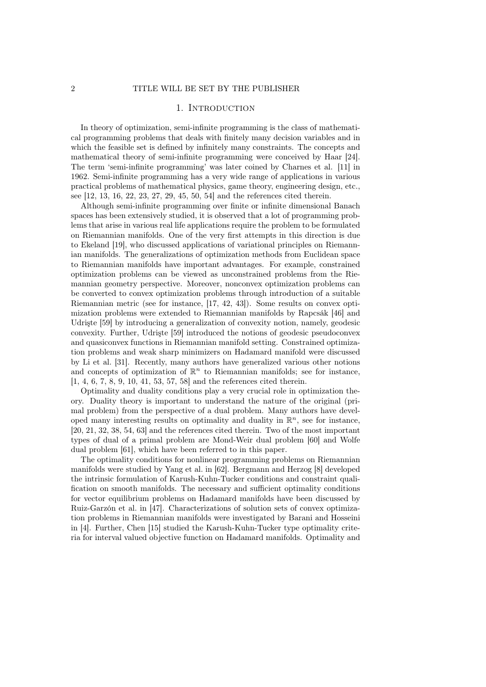## 1. INTRODUCTION

In theory of optimization, semi-infinite programming is the class of mathematical programming problems that deals with finitely many decision variables and in which the feasible set is defined by infinitely many constraints. The concepts and mathematical theory of semi-infinite programming were conceived by Haar [24]. The term 'semi-infinite programming' was later coined by Charnes et al. [11] in 1962. Semi-infinite programming has a very wide range of applications in various practical problems of mathematical physics, game theory, engineering design, etc., see [12, 13, 16, 22, 23, 27, 29, 45, 50, 54] and the references cited therein.

Although semi-infinite programming over finite or infinite dimensional Banach spaces has been extensively studied, it is observed that a lot of programming problems that arise in various real life applications require the problem to be formulated on Riemannian manifolds. One of the very first attempts in this direction is due to Ekeland [19], who discussed applications of variational principles on Riemannian manifolds. The generalizations of optimization methods from Euclidean space to Riemannian manifolds have important advantages. For example, constrained optimization problems can be viewed as unconstrained problems from the Riemannian geometry perspective. Moreover, nonconvex optimization problems can be converted to convex optimization problems through introduction of a suitable Riemannian metric (see for instance, [17, 42, 43]). Some results on convex optimization problems were extended to Riemannian manifolds by Rapcsák [46] and Udrişte [59] by introducing a generalization of convexity notion, namely, geodesic convexity. Further, Udrişte [59] introduced the notions of geodesic pseudoconvex and quasiconvex functions in Riemannian manifold setting. Constrained optimization problems and weak sharp minimizers on Hadamard manifold were discussed by Li et al. [31]. Recently, many authors have generalized various other notions and concepts of optimization of  $\mathbb{R}^n$  to Riemannian manifolds; see for instance, [1, 4, 6, 7, 8, 9, 10, 41, 53, 57, 58] and the references cited therein.

Optimality and duality conditions play a very crucial role in optimization theory. Duality theory is important to understand the nature of the original (primal problem) from the perspective of a dual problem. Many authors have developed many interesting results on optimality and duality in  $\mathbb{R}^n$ , see for instance, [20, 21, 32, 38, 54, 63] and the references cited therein. Two of the most important types of dual of a primal problem are Mond-Weir dual problem [60] and Wolfe dual problem [61], which have been referred to in this paper.

The optimality conditions for nonlinear programming problems on Riemannian manifolds were studied by Yang et al. in [62]. Bergmann and Herzog [8] developed the intrinsic formulation of Karush-Kuhn-Tucker conditions and constraint qualification on smooth manifolds. The necessary and sufficient optimality conditions for vector equilibrium problems on Hadamard manifolds have been discussed by Ruiz-Garzón et al. in [47]. Characterizations of solution sets of convex optimization problems in Riemannian manifolds were investigated by Barani and Hosseini in [4]. Further, Chen [15] studied the Karush-Kuhn-Tucker type optimality criteria for interval valued objective function on Hadamard manifolds. Optimality and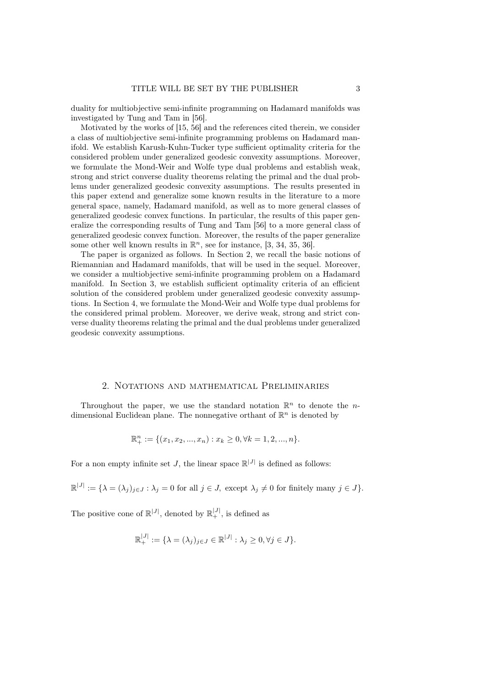duality for multiobjective semi-infinite programming on Hadamard manifolds was investigated by Tung and Tam in [56].

Motivated by the works of [15, 56] and the references cited therein, we consider a class of multiobjective semi-infinite programming problems on Hadamard manifold. We establish Karush-Kuhn-Tucker type sufficient optimality criteria for the considered problem under generalized geodesic convexity assumptions. Moreover, we formulate the Mond-Weir and Wolfe type dual problems and establish weak, strong and strict converse duality theorems relating the primal and the dual problems under generalized geodesic convexity assumptions. The results presented in this paper extend and generalize some known results in the literature to a more general space, namely, Hadamard manifold, as well as to more general classes of generalized geodesic convex functions. In particular, the results of this paper generalize the corresponding results of Tung and Tam [56] to a more general class of generalized geodesic convex function. Moreover, the results of the paper generalize some other well known results in  $\mathbb{R}^n$ , see for instance, [3, 34, 35, 36].

The paper is organized as follows. In Section 2, we recall the basic notions of Riemannian and Hadamard manifolds, that will be used in the sequel. Moreover, we consider a multiobjective semi-infinite programming problem on a Hadamard manifold. In Section 3, we establish sufficient optimality criteria of an efficient solution of the considered problem under generalized geodesic convexity assumptions. In Section 4, we formulate the Mond-Weir and Wolfe type dual problems for the considered primal problem. Moreover, we derive weak, strong and strict converse duality theorems relating the primal and the dual problems under generalized geodesic convexity assumptions.

#### 2. Notations and mathematical Preliminaries

Throughout the paper, we use the standard notation  $\mathbb{R}^n$  to denote the *n*dimensional Euclidean plane. The nonnegative orthant of  $\mathbb{R}^n$  is denoted by

$$
\mathbb{R}^n_+ := \{ (x_1, x_2, ..., x_n) : x_k \ge 0, \forall k = 1, 2, ..., n \}.
$$

For a non empty infinite set J, the linear space  $\mathbb{R}^{|J|}$  is defined as follows:

$$
\mathbb{R}^{|J|} := {\lambda = (\lambda_j)_{j \in J} : \lambda_j = 0 \text{ for all } j \in J, \text{ except } \lambda_j \neq 0 \text{ for finitely many } j \in J}.
$$

The positive cone of  $\mathbb{R}^{|J|}$ , denoted by  $\mathbb{R}^{|J|}_+$ , is defined as

$$
\mathbb{R}^{|J|}_+ := \{ \lambda = (\lambda_j)_{j \in J} \in \mathbb{R}^{|J|} : \lambda_j \ge 0, \forall j \in J \}.
$$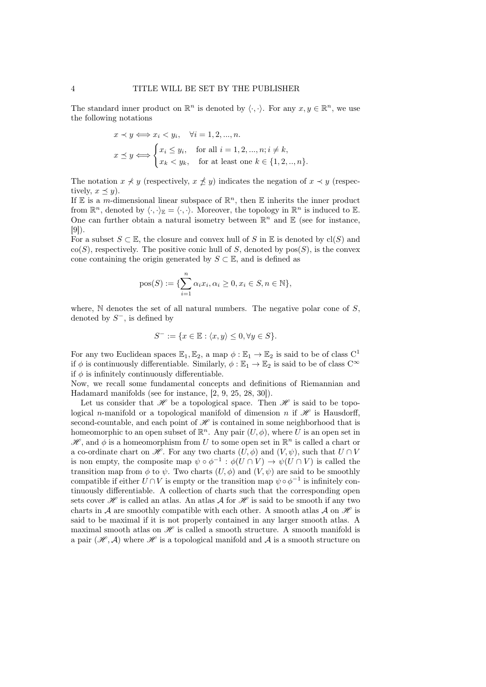The standard inner product on  $\mathbb{R}^n$  is denoted by  $\langle \cdot, \cdot \rangle$ . For any  $x, y \in \mathbb{R}^n$ , we use the following notations

$$
x \prec y \Longleftrightarrow x_i \prec y_i, \quad \forall i = 1, 2, ..., n.
$$

$$
x \preceq y \Longleftrightarrow \begin{cases} x_i \leq y_i, & \text{for all } i = 1, 2, ..., n; i \neq k, \\ x_k < y_k, \quad \text{for at least one } k \in \{1, 2, ..., n\}. \end{cases}
$$

The notation  $x \nless y$  (respectively,  $x \nless y$ ) indicates the negation of  $x \prec y$  (respectively,  $x \preceq y$ ).

If E is a m-dimensional linear subspace of  $\mathbb{R}^n$ , then E inherits the inner product from  $\mathbb{R}^n$ , denoted by  $\langle \cdot, \cdot \rangle_{\mathbb{E}} = \langle \cdot, \cdot \rangle$ . Moreover, the topology in  $\mathbb{R}^n$  is induced to  $\mathbb{E}$ . One can further obtain a natural isometry between  $\mathbb{R}^n$  and  $\mathbb{E}$  (see for instance, [9]).

For a subset  $S \subset \mathbb{E}$ , the closure and convex hull of S in  $\mathbb{E}$  is denoted by cl(S) and  $\text{co}(S)$ , respectively. The positive conic hull of S, denoted by  $\text{pos}(S)$ , is the convex cone containing the origin generated by  $S \subset \mathbb{E}$ , and is defined as

pos(S) := {
$$
\sum_{i=1}^{n} \alpha_i x_i, \alpha_i \ge 0, x_i \in S, n \in \mathbb{N}
$$
},

where,  $\mathbb N$  denotes the set of all natural numbers. The negative polar cone of  $S$ , denoted by  $S^-$ , is defined by

$$
S^- := \{ x \in \mathbb{E} : \langle x, y \rangle \le 0, \forall y \in S \}.
$$

For any two Euclidean spaces  $\mathbb{E}_1, \mathbb{E}_2$ , a map  $\phi : \mathbb{E}_1 \to \mathbb{E}_2$  is said to be of class  $C^1$ if  $\phi$  is continuously differentiable. Similarly,  $\phi : \mathbb{E}_1 \to \mathbb{E}_2$  is said to be of class  $C^{\infty}$ if  $\phi$  is infinitely continuously differentiable.

Now, we recall some fundamental concepts and definitions of Riemannian and Hadamard manifolds (see for instance, [2, 9, 25, 28, 30]).

Let us consider that  $\mathscr H$  be a topological space. Then  $\mathscr H$  is said to be topological n-manifold or a topological manifold of dimension n if  $\mathscr H$  is Hausdorff, second-countable, and each point of  $\mathscr H$  is contained in some neighborhood that is homeomorphic to an open subset of  $\mathbb{R}^n$ . Any pair  $(U, \phi)$ , where U is an open set in  $\mathscr{H}$ , and  $\phi$  is a homeomorphism from U to some open set in  $\mathbb{R}^n$  is called a chart or a co-ordinate chart on  $\mathscr{H}$ . For any two charts  $(U, \phi)$  and  $(V, \psi)$ , such that  $U \cap V$ is non empty, the composite map  $\psi \circ \phi^{-1} : \phi(U \cap V) \to \psi(U \cap V)$  is called the transition map from  $\phi$  to  $\psi$ . Two charts  $(U, \phi)$  and  $(V, \psi)$  are said to be smoothly compatible if either  $U \cap V$  is empty or the transition map  $\psi \circ \phi^{-1}$  is infinitely continuously differentiable. A collection of charts such that the corresponding open sets cover  $\mathscr H$  is called an atlas. An atlas A for  $\mathscr H$  is said to be smooth if any two charts in A are smoothly compatible with each other. A smooth atlas A on  $\mathcal H$  is said to be maximal if it is not properly contained in any larger smooth atlas. A maximal smooth atlas on  $\mathscr H$  is called a smooth structure. A smooth manifold is a pair  $(\mathcal{H}, \mathcal{A})$  where  $\mathcal{H}$  is a topological manifold and  $\mathcal{A}$  is a smooth structure on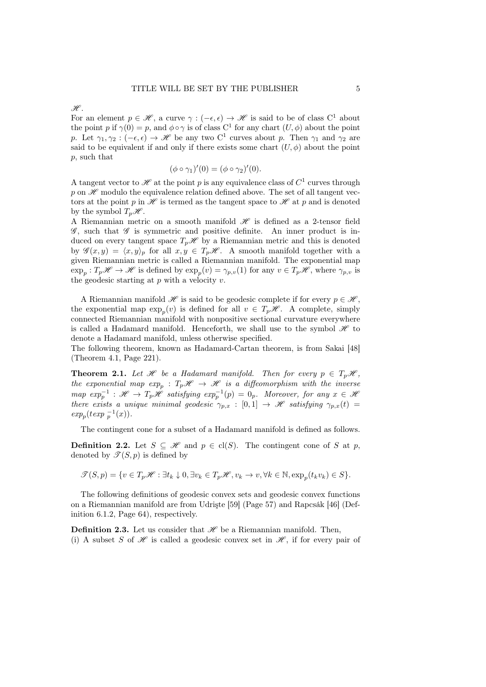$\mathscr{H}$ .

For an element  $p \in \mathcal{H}$ , a curve  $\gamma : (-\epsilon, \epsilon) \to \mathcal{H}$  is said to be of class C<sup>1</sup> about the point p if  $\gamma(0) = p$ , and  $\phi \circ \gamma$  is of class C<sup>1</sup> for any chart  $(U, \phi)$  about the point p. Let  $\gamma_1, \gamma_2 : (-\epsilon, \epsilon) \to \mathscr{H}$  be any two C<sup>1</sup> curves about p. Then  $\gamma_1$  and  $\gamma_2$  are said to be equivalent if and only if there exists some chart  $(U, \phi)$  about the point p, such that

$$
(\phi \circ \gamma_1)'(0) = (\phi \circ \gamma_2)'(0).
$$

A tangent vector to  $\mathscr H$  at the point p is any equivalence class of  $C^1$  curves through p on  $\mathscr H$  modulo the equivalence relation defined above. The set of all tangent vectors at the point p in  $\mathscr H$  is termed as the tangent space to  $\mathscr H$  at p and is denoted by the symbol  $T_n\mathscr{H}$ .

A Riemannian metric on a smooth manifold  $\mathscr H$  is defined as a 2-tensor field  $\mathscr{G}$ , such that  $\mathscr{G}$  is symmetric and positive definite. An inner product is induced on every tangent space  $T_p\mathscr{H}$  by a Riemannian metric and this is denoted by  $\mathscr{G}(x, y) = \langle x, y \rangle_p$  for all  $x, y \in T_p\mathscr{H}$ . A smooth manifold together with a given Riemannian metric is called a Riemannian manifold. The exponential map  $\exp_p: T_p\mathscr{H} \to \mathscr{H}$  is defined by  $\exp_p(v) = \gamma_{p,v}(1)$  for any  $v \in T_p\mathscr{H}$ , where  $\gamma_{p,v}$  is the geodesic starting at  $p$  with a velocity  $v$ .

A Riemannian manifold  $\mathscr H$  is said to be geodesic complete if for every  $p \in \mathscr H$ , the exponential map  $\exp_p(v)$  is defined for all  $v \in T_p\mathscr{H}$ . A complete, simply connected Riemannian manifold with nonpositive sectional curvature everywhere is called a Hadamard manifold. Henceforth, we shall use to the symbol  $\mathcal{H}$  to denote a Hadamard manifold, unless otherwise specified.

The following theorem, known as Hadamard-Cartan theorem, is from Sakai [48] (Theorem 4.1, Page 221).

**Theorem 2.1.** Let  $\mathcal{H}$  be a Hadamard manifold. Then for every  $p \in T_p\mathcal{H}$ , the exponential map  $exp_p$  :  $T_p\mathscr{H} \rightarrow \mathscr{H}$  is a diffeomorphism with the inverse  $map \; exp_p^{-1} : \mathscr{H} \to T_p\mathscr{H}$  satisfying  $exp_p^{-1}(p) = 0_p$ . Moreover, for any  $x \in \mathscr{H}$ there exists a unique minimal geodesic  $\gamma_{p,x} : [0,1] \to \mathcal{H}$  satisfying  $\gamma_{p,x}(t) =$  $exp_p(texp_p^{-1}(x)).$ 

The contingent cone for a subset of a Hadamard manifold is defined as follows.

**Definition 2.2.** Let  $S \subseteq \mathcal{H}$  and  $p \in cl(S)$ . The contingent cone of S at p, denoted by  $\mathscr{T}(S,p)$  is defined by

 $\mathscr{T}(S, p) = \{v \in T_p\mathscr{H} : \exists t_k \downarrow 0, \exists v_k \in T_p\mathscr{H}, v_k \to v, \forall k \in \mathbb{N}, \exp_p(t_k v_k) \in S\}.$ 

The following definitions of geodesic convex sets and geodesic convex functions on a Riemannian manifold are from Udrişte [59] (Page 57) and Rapcsák [46] (Definition 6.1.2, Page 64), respectively.

**Definition 2.3.** Let us consider that  $\mathcal{H}$  be a Riemannian manifold. Then, (i) A subset S of  $\mathscr H$  is called a geodesic convex set in  $\mathscr H$ , if for every pair of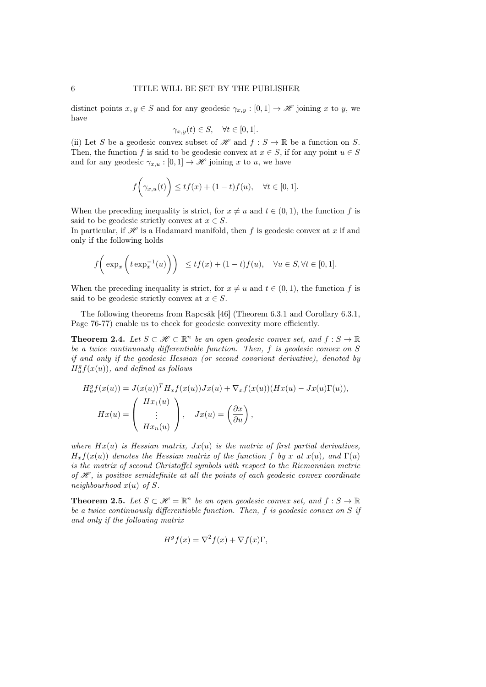distinct points  $x, y \in S$  and for any geodesic  $\gamma_{x,y} : [0,1] \to \mathcal{H}$  joining x to y, we have

$$
\gamma_{x,y}(t) \in S, \quad \forall t \in [0,1].
$$

(ii) Let S be a geodesic convex subset of  $\mathscr H$  and  $f : S \to \mathbb R$  be a function on S. Then, the function f is said to be geodesic convex at  $x \in S$ , if for any point  $u \in S$ and for any geodesic  $\gamma_{x,u} : [0,1] \to \mathcal{H}$  joining x to u, we have

$$
f\bigg(\gamma_{x,u}(t)\bigg) \le tf(x) + (1-t)f(u), \quad \forall t \in [0,1].
$$

When the preceding inequality is strict, for  $x \neq u$  and  $t \in (0, 1)$ , the function f is said to be geodesic strictly convex at  $x \in S$ .

In particular, if  $\mathscr H$  is a Hadamard manifold, then f is geodesic convex at x if and only if the following holds

$$
f\bigg(\exp_x\bigg(t\exp_x^{-1}(u)\bigg)\bigg) \le tf(x) + (1-t)f(u), \quad \forall u \in S, \forall t \in [0,1].
$$

When the preceding inequality is strict, for  $x \neq u$  and  $t \in (0, 1)$ , the function f is said to be geodesic strictly convex at  $x \in S$ .

The following theorems from Rapcsák [46] (Theorem 6.3.1 and Corollary 6.3.1, Page 76-77) enable us to check for geodesic convexity more efficiently.

**Theorem 2.4.** Let  $S \subset \mathcal{H} \subset \mathbb{R}^n$  be an open geodesic convex set, and  $f : S \to \mathbb{R}$ be a twice continuously differentiable function. Then, f is geodesic convex on S if and only if the geodesic Hessian (or second covariant derivative), denoted by  $H_u^g f(x(u))$ , and defined as follows

$$
H_u^g f(x(u)) = J(x(u))^T H_x f(x(u)) Jx(u) + \nabla_x f(x(u)) (Hx(u) - Jx(u)\Gamma(u)),
$$
  
\n
$$
Hx(u) = \begin{pmatrix} Hx_1(u) \\ \vdots \\ Hx_n(u) \end{pmatrix}, \quad Jx(u) = \left(\frac{\partial x}{\partial u}\right),
$$

where  $Hx(u)$  is Hessian matrix,  $Jx(u)$  is the matrix of first partial derivatives,  $H_x f(x(u))$  denotes the Hessian matrix of the function f by x at  $x(u)$ , and  $\Gamma(u)$ is the matrix of second Christoffel symbols with respect to the Riemannian metric of  $\mathscr H$ , is positive semidefinite at all the points of each geodesic convex coordinate neighbourhood  $x(u)$  of S.

**Theorem 2.5.** Let  $S \subset \mathcal{H} = \mathbb{R}^n$  be an open geodesic convex set, and  $f : S \to \mathbb{R}$ be a twice continuously differentiable function. Then, f is geodesic convex on S if and only if the following matrix

$$
H^g f(x) = \nabla^2 f(x) + \nabla f(x) \Gamma,
$$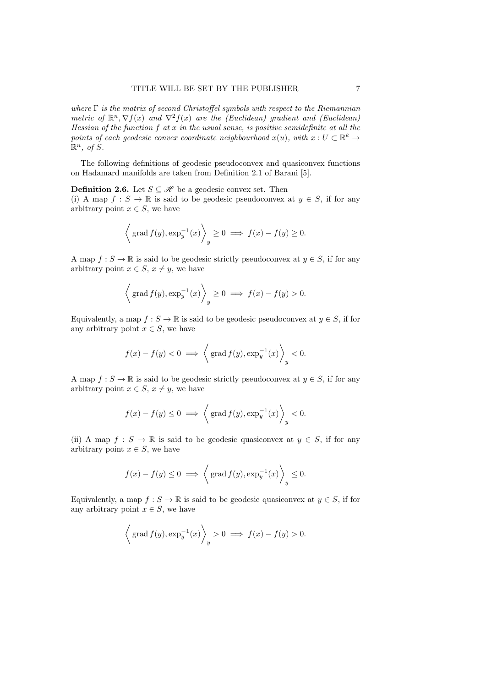where  $\Gamma$  is the matrix of second Christoffel symbols with respect to the Riemannian metric of  $\mathbb{R}^n$ ,  $\nabla f(x)$  and  $\nabla^2 f(x)$  are the (Euclidean) gradient and (Euclidean) Hessian of the function  $f$  at  $x$  in the usual sense, is positive semidefinite at all the points of each geodesic convex coordinate neighbourhood  $x(u)$ , with  $x: U \subset \mathbb{R}^k \to$  $\mathbb{R}^n$ , of  $\overline{S}$ .

The following definitions of geodesic pseudoconvex and quasiconvex functions on Hadamard manifolds are taken from Definition 2.1 of Barani [5].

**Definition 2.6.** Let  $S \subseteq \mathcal{H}$  be a geodesic convex set. Then

(i) A map  $f : S \to \mathbb{R}$  is said to be geodesic pseudoconvex at  $y \in S$ , if for any arbitrary point  $x \in S$ , we have

$$
\left\langle \operatorname{grad} f(y), \exp_y^{-1}(x) \right\rangle_y \ge 0 \implies f(x) - f(y) \ge 0.
$$

A map  $f : S \to \mathbb{R}$  is said to be geodesic strictly pseudoconvex at  $y \in S$ , if for any arbitrary point  $x \in S$ ,  $x \neq y$ , we have

$$
\left\langle \operatorname{grad} f(y), \exp_y^{-1}(x) \right\rangle_y \ge 0 \implies f(x) - f(y) > 0.
$$

Equivalently, a map  $f : S \to \mathbb{R}$  is said to be geodesic pseudoconvex at  $y \in S$ , if for any arbitrary point  $x \in S$ , we have

$$
f(x) - f(y) < 0 \implies \left\langle \text{grad } f(y), \exp_y^{-1}(x) \right\rangle_y < 0.
$$

A map  $f: S \to \mathbb{R}$  is said to be geodesic strictly pseudoconvex at  $y \in S$ , if for any arbitrary point  $x \in S$ ,  $x \neq y$ , we have

$$
f(x) - f(y) \le 0 \implies \left\langle \text{grad } f(y), \exp_y^{-1}(x) \right\rangle_y < 0.
$$

(ii) A map  $f : S \to \mathbb{R}$  is said to be geodesic quasiconvex at  $y \in S$ , if for any arbitrary point  $x \in S$ , we have

$$
f(x) - f(y) \le 0 \implies \left\langle \text{grad } f(y), \exp_y^{-1}(x) \right\rangle_y \le 0.
$$

Equivalently, a map  $f : S \to \mathbb{R}$  is said to be geodesic quasiconvex at  $y \in S$ , if for any arbitrary point  $x \in S$ , we have

$$
\left\langle \operatorname{grad} f(y), \exp_y^{-1}(x) \right\rangle_y > 0 \implies f(x) - f(y) > 0.
$$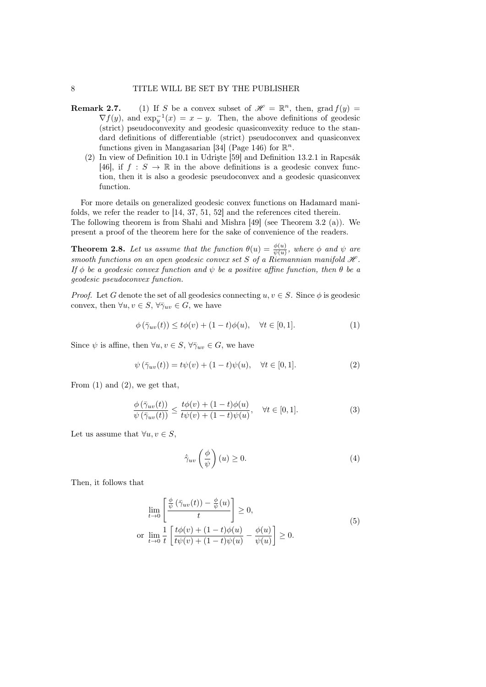#### 8 TITLE WILL BE SET BY THE PUBLISHER

- **Remark 2.7.** (1) If S be a convex subset of  $\mathcal{H} = \mathbb{R}^n$ , then, grad  $f(y) =$  $\nabla f(y)$ , and  $\exp_y^{-1}(x) = x - y$ . Then, the above definitions of geodesic (strict) pseudoconvexity and geodesic quasiconvexity reduce to the standard definitions of differentiable (strict) pseudoconvex and quasiconvex functions given in Mangasarian [34] (Page 146) for  $\mathbb{R}^n$ .
	- (2) In view of Definition 10.1 in Udrişte [59] and Definition 13.2.1 in Rapcsák [46], if  $f : S \to \mathbb{R}$  in the above definitions is a geodesic convex function, then it is also a geodesic pseudoconvex and a geodesic quasiconvex function.

For more details on generalized geodesic convex functions on Hadamard manifolds, we refer the reader to [14, 37, 51, 52] and the references cited therein. The following theorem is from Shahi and Mishra [49] (see Theorem 3.2 (a)). We present a proof of the theorem here for the sake of convenience of the readers.

**Theorem 2.8.** Let us assume that the function  $\theta(u) = \frac{\phi(u)}{\psi(u)}$ , where  $\phi$  and  $\psi$  are smooth functions on an open geodesic convex set S of a Riemannian manifold  $\mathcal{H}$ . If  $\phi$  be a geodesic convex function and  $\psi$  be a positive affine function, then  $\theta$  be a geodesic pseudoconvex function.

*Proof.* Let G denote the set of all geodesics connecting  $u, v \in S$ . Since  $\phi$  is geodesic convex, then  $\forall u, v \in S, \forall \bar{\gamma}_{uv} \in G$ , we have

$$
\phi(\bar{\gamma}_{uv}(t)) \le t\phi(v) + (1-t)\phi(u), \quad \forall t \in [0,1]. \tag{1}
$$

Since  $\psi$  is affine, then  $\forall u, v \in S, \forall \bar{\gamma}_{uv} \in G$ , we have

$$
\psi\left(\bar{\gamma}_{uv}(t)\right) = t\psi(v) + (1-t)\psi(u), \quad \forall t \in [0,1].\tag{2}
$$

From  $(1)$  and  $(2)$ , we get that,

$$
\frac{\phi\left(\bar{\gamma}_{uv}(t)\right)}{\psi\left(\bar{\gamma}_{uv}(t)\right)} \le \frac{t\phi(v) + (1-t)\phi(u)}{t\psi(v) + (1-t)\psi(u)}, \quad \forall t \in [0,1].\tag{3}
$$

Let us assume that  $\forall u, v \in S$ ,

$$
\dot{\bar{\gamma}}_{uv} \left(\frac{\phi}{\psi}\right)(u) \ge 0. \tag{4}
$$

Then, it follows that

$$
\lim_{t \to 0} \left[ \frac{\frac{\phi}{\psi} (\bar{\gamma}_{uv}(t)) - \frac{\phi}{\psi}(u)}{t} \right] \ge 0,
$$
\n
$$
\text{or } \lim_{t \to 0} \frac{1}{t} \left[ \frac{t\phi(v) + (1-t)\phi(u)}{t\psi(v) + (1-t)\psi(u)} - \frac{\phi(u)}{\psi(u)} \right] \ge 0.
$$
\n
$$
(5)
$$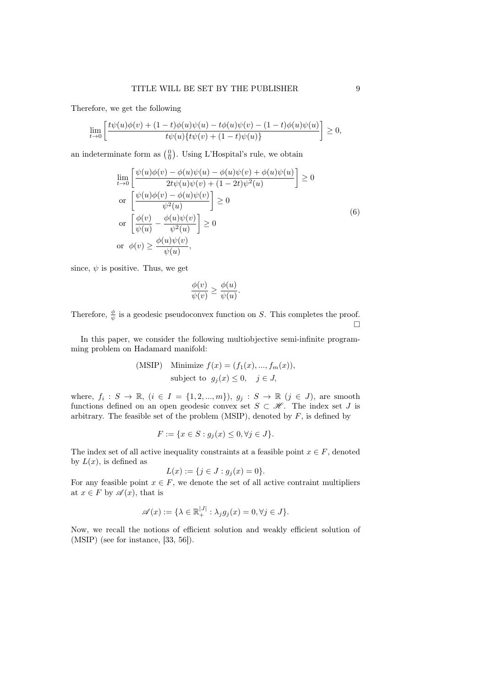Therefore, we get the following

$$
\lim_{t \to 0} \left[ \frac{t\psi(u)\phi(v) + (1-t)\phi(u)\psi(u) - t\phi(u)\psi(v) - (1-t)\phi(u)\psi(u)}{t\psi(u)\{t\psi(v) + (1-t)\psi(u)\}} \right] \ge 0,
$$

an indeterminate form as  $\left(\frac{0}{0}\right)$ . Using L'Hospital's rule, we obtain

$$
\lim_{t \to 0} \left[ \frac{\psi(u)\phi(v) - \phi(u)\psi(u) - \phi(u)\psi(v) + \phi(u)\psi(u)}{2t\psi(u)\psi(v) + (1 - 2t)\psi^2(u)} \right] \ge 0
$$
\nor

\n
$$
\left[ \frac{\psi(u)\phi(v) - \phi(u)\psi(v)}{\psi^2(u)} \right] \ge 0
$$
\nor

\n
$$
\left[ \frac{\phi(v)}{\psi(u)} - \frac{\phi(u)\psi(v)}{\psi^2(u)} \right] \ge 0
$$
\nor

\n
$$
\phi(v) \ge \frac{\phi(u)\psi(v)}{\psi(u)},
$$
\n(6)

since,  $\psi$  is positive. Thus, we get

$$
\frac{\phi(v)}{\psi(v)} \ge \frac{\phi(u)}{\psi(u)}.
$$

Therefore,  $\frac{\phi}{\psi}$  is a geodesic pseudoconvex function on S. This completes the proof.  $\Box$ 

In this paper, we consider the following multiobjective semi-infinite programming problem on Hadamard manifold:

(MSIP) Minimize 
$$
f(x) = (f_1(x), ..., f_m(x)),
$$
  
subject to  $g_j(x) \le 0, j \in J,$ 

where,  $f_i: S \to \mathbb{R}, (i \in I = \{1, 2, ..., m\}), g_j: S \to \mathbb{R} (j \in J)$ , are smooth functions defined on an open geodesic convex set  $S \subset \mathscr{H}$ . The index set J is arbitrary. The feasible set of the problem (MSIP), denoted by  $F$ , is defined by

$$
F := \{ x \in S : g_j(x) \le 0, \forall j \in J \}.
$$

The index set of all active inequality constraints at a feasible point  $x \in F$ , denoted by  $L(x)$ , is defined as

$$
L(x) := \{ j \in J : g_j(x) = 0 \}.
$$

For any feasible point  $x \in F$ , we denote the set of all active contraint multipliers at  $x \in F$  by  $\mathscr{A}(x)$ , that is

$$
\mathscr{A}(x) := \{ \lambda \in \mathbb{R}_+^{|J|} : \lambda_j g_j(x) = 0, \forall j \in J \}.
$$

Now, we recall the notions of efficient solution and weakly efficient solution of (MSIP) (see for instance, [33, 56]).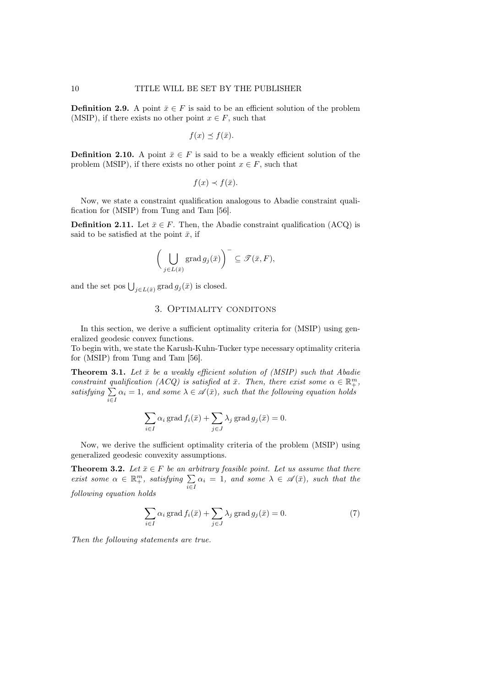**Definition 2.9.** A point  $\bar{x} \in F$  is said to be an efficient solution of the problem (MSIP), if there exists no other point  $x \in F$ , such that

$$
f(x) \preceq f(\bar{x}).
$$

**Definition 2.10.** A point  $\bar{x} \in F$  is said to be a weakly efficient solution of the problem (MSIP), if there exists no other point  $x \in F$ , such that

$$
f(x) \prec f(\bar{x}).
$$

Now, we state a constraint qualification analogous to Abadie constraint qualification for (MSIP) from Tung and Tam [56].

**Definition 2.11.** Let  $\bar{x} \in F$ . Then, the Abadie constraint qualification (ACQ) is said to be satisfied at the point  $\bar{x}$ , if

$$
\bigg(\bigcup_{j\in L(\bar x)}\operatorname{grad} g_j(\bar x)\bigg)^{-}\subseteq \mathscr{T}(\bar x,F),
$$

and the set pos  $\bigcup_{j\in L(\bar{x})} \operatorname{grad} g_j(\bar{x})$  is closed.

## 3. Optimality conditons

In this section, we derive a sufficient optimality criteria for  $(MSIP)$  using generalized geodesic convex functions.

To begin with, we state the Karush-Kuhn-Tucker type necessary optimality criteria for (MSIP) from Tung and Tam [56].

**Theorem 3.1.** Let  $\bar{x}$  be a weakly efficient solution of (MSIP) such that Abadie constraint qualification (ACQ) is satisfied at  $\bar{x}$ . Then, there exist some  $\alpha \in \mathbb{R}^m_+$ , satisfying  $\Sigma$  $\sum_{i\in I} \alpha_i = 1$ , and some  $\lambda \in \mathscr{A}(\bar{x})$ , such that the following equation holds

$$
\sum_{i \in I} \alpha_i \operatorname{grad} f_i(\bar{x}) + \sum_{j \in J} \lambda_j \operatorname{grad} g_j(\bar{x}) = 0.
$$

Now, we derive the sufficient optimality criteria of the problem (MSIP) using generalized geodesic convexity assumptions.

**Theorem 3.2.** Let  $\bar{x} \in F$  be an arbitrary feasible point. Let us assume that there exist some  $\alpha \in \mathbb{R}^m_+$ , satisfying  $\sum_{i \in I} \alpha_i = 1$ , and some  $\lambda \in \mathscr{A}(\bar{x})$ , such that the following equation holds

$$
\sum_{i \in I} \alpha_i \operatorname{grad} f_i(\bar{x}) + \sum_{j \in J} \lambda_j \operatorname{grad} g_j(\bar{x}) = 0.
$$
 (7)

Then the following statements are true.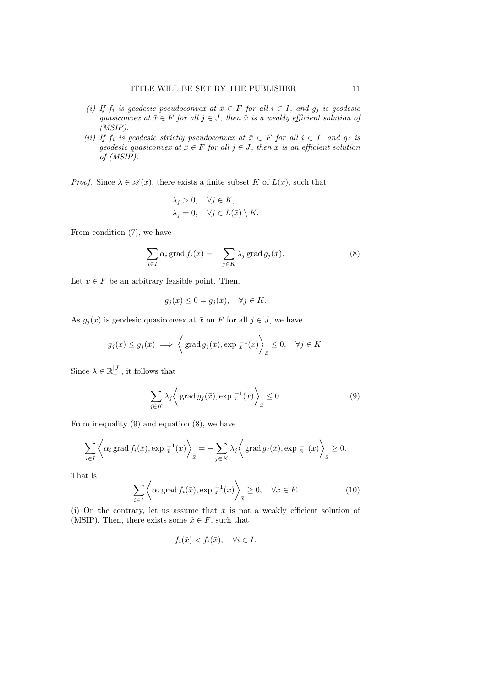- (i) If  $f_i$  is geodesic pseudoconvex at  $\bar{x} \in F$  for all  $i \in I$ , and  $g_j$  is geodesic quasiconvex at  $\bar{x} \in F$  for all  $j \in J$ , then  $\bar{x}$  is a weakly efficient solution of (MSIP).
- (ii) If  $f_i$  is geodesic strictly pseudoconvex at  $\bar{x} \in F$  for all  $i \in I$ , and  $g_j$  is geodesic quasiconvex at  $\bar{x} \in F$  for all  $j \in J$ , then  $\bar{x}$  is an efficient solution of (MSIP).

*Proof.* Since  $\lambda \in \mathscr{A}(\bar{x})$ , there exists a finite subset K of  $L(\bar{x})$ , such that

$$
\lambda_j > 0, \quad \forall j \in K,
$$
  

$$
\lambda_j = 0, \quad \forall j \in L(\bar{x}) \setminus K.
$$

From condition (7), we have

$$
\sum_{i \in I} \alpha_i \operatorname{grad} f_i(\bar{x}) = -\sum_{j \in K} \lambda_j \operatorname{grad} g_j(\bar{x}). \tag{8}
$$

Let  $x \in F$  be an arbitrary feasible point. Then,

$$
g_j(x) \le 0 = g_j(\bar{x}), \quad \forall j \in K.
$$

As  $g_j(x)$  is geodesic quasiconvex at  $\bar{x}$  on F for all  $j \in J$ , we have

$$
g_j(x) \le g_j(\bar{x}) \implies \left\langle \text{grad } g_j(\bar{x}), \text{exp }^{-1}(\bar{x}) \right\rangle_{\bar{x}} \le 0, \quad \forall j \in K.
$$

Since  $\lambda \in \mathbb{R}_+^{|J|}$ , it follows that

$$
\sum_{j \in K} \lambda_j \left\langle \operatorname{grad} g_j(\bar{x}), \exp(\bar{x}^{-1}(x)) \right\rangle_{\bar{x}} \le 0. \tag{9}
$$

From inequality (9) and equation (8), we have

$$
\sum_{i \in I} \left\langle \alpha_i \operatorname{grad} f_i(\bar{x}), \exp \frac{-1}{\bar{x}}(x) \right\rangle_{\bar{x}} = -\sum_{j \in K} \lambda_j \left\langle \operatorname{grad} g_j(\bar{x}), \exp \frac{-1}{\bar{x}}(x) \right\rangle_{\bar{x}} \ge 0.
$$

That is

$$
\sum_{i \in I} \left\langle \alpha_i \operatorname{grad} f_i(\bar{x}), \exp \frac{-1}{\bar{x}}(x) \right\rangle_{\bar{x}} \ge 0, \quad \forall x \in F. \tag{10}
$$

(i) On the contrary, let us assume that  $\bar{x}$  is not a weakly efficient solution of (MSIP). Then, there exists some  $\hat{x} \in F$ , such that

$$
f_i(\hat{x}) < f_i(\bar{x}), \quad \forall i \in I.
$$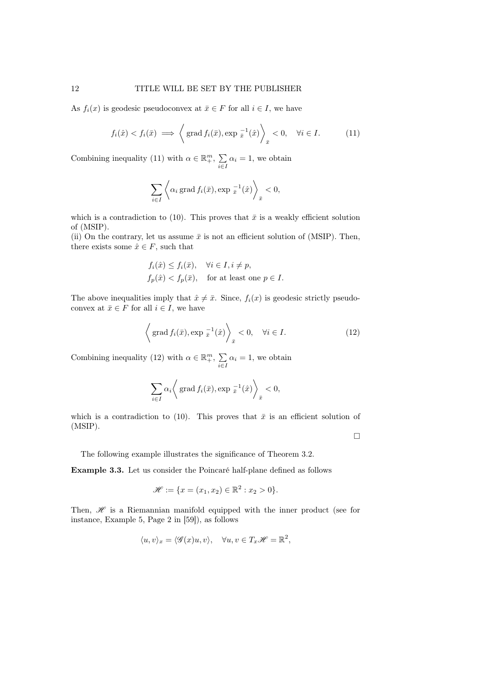As  $f_i(x)$  is geodesic pseudoconvex at  $\bar{x} \in F$  for all  $i \in I$ , we have

$$
f_i(\hat{x}) < f_i(\bar{x}) \implies \left\langle \text{grad } f_i(\bar{x}), \exp(\bar{x}^1(\hat{x})) \right\rangle_{\bar{x}} < 0, \quad \forall i \in I. \tag{11}
$$

Combining inequality (11) with  $\alpha \in \mathbb{R}^m_+$ ,  $\sum$  $\sum_{i\in I} \alpha_i = 1$ , we obtain

$$
\sum_{i \in I} \left\langle \alpha_i \operatorname{grad} f_i(\bar{x}), \exp \frac{-1}{\bar{x}}(\hat{x}) \right\rangle_{\bar{x}} < 0,
$$

which is a contradiction to (10). This proves that  $\bar{x}$  is a weakly efficient solution of (MSIP).

(ii) On the contrary, let us assume  $\bar{x}$  is not an efficient solution of (MSIP). Then, there exists some  $\hat{x} \in F$ , such that

$$
f_i(\hat{x}) \le f_i(\bar{x}), \quad \forall i \in I, i \ne p,
$$
  

$$
f_p(\hat{x}) < f_p(\bar{x}), \quad \text{for at least one } p \in I.
$$

The above inequalities imply that  $\hat{x} \neq \bar{x}$ . Since,  $f_i(x)$  is geodesic strictly pseudoconvex at  $\bar{x} \in F$  for all  $i \in I$ , we have

$$
\left\langle \text{grad } f_i(\bar{x}), \text{exp } \frac{-1}{\bar{x}}(\hat{x}) \right\rangle_{\bar{x}} < 0, \quad \forall i \in I.
$$
 (12)

Combining inequality (12) with  $\alpha \in \mathbb{R}^m_+$ ,  $\sum$  $\sum_{i\in I} \alpha_i = 1$ , we obtain

$$
\sum_{i \in I} \alpha_i \bigg\langle \text{ grad } f_i(\bar{x}), \exp \frac{-1}{\bar{x}}(\hat{x}) \bigg\rangle_{\bar{x}} < 0,
$$

which is a contradiction to (10). This proves that  $\bar{x}$  is an efficient solution of (MSIP).

 $\Box$ 

The following example illustrates the significance of Theorem 3.2.

Example 3.3. Let us consider the Poincaré half-plane defined as follows

$$
\mathscr{H} := \{ x = (x_1, x_2) \in \mathbb{R}^2 : x_2 > 0 \}.
$$

Then,  $\mathscr H$  is a Riemannian manifold equipped with the inner product (see for instance, Example 5, Page 2 in [59]), as follows

$$
\langle u, v \rangle_x = \langle \mathcal{G}(x)u, v \rangle, \quad \forall u, v \in T_x \mathcal{H} = \mathbb{R}^2,
$$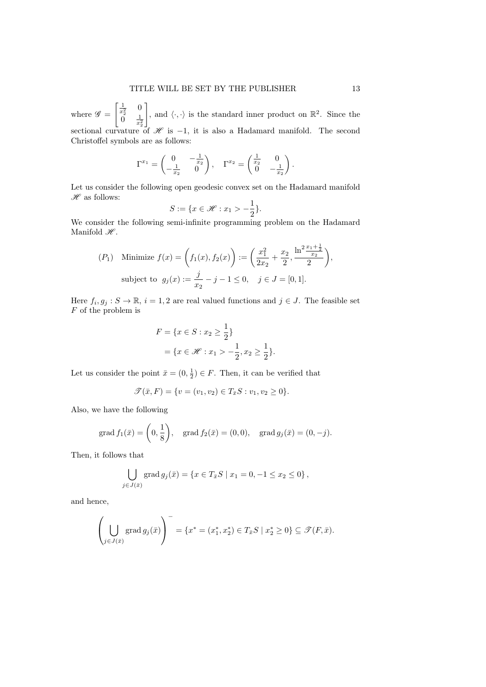where  $\mathscr{G} =$  $\begin{bmatrix} \frac{1}{x_2^2} & 0 \end{bmatrix}$  $\int_{0}^{\pi} \frac{1}{x_2^2}$ , and  $\langle \cdot, \cdot \rangle$  is the standard inner product on  $\mathbb{R}^2$ . Since the sectional curvature of  $\mathscr H$  is -1, it is also a Hadamard manifold. The second Christoffel symbols are as follows:

$$
\Gamma^{x_1} = \begin{pmatrix} 0 & -\frac{1}{x_2} \\ -\frac{1}{x_2} & 0 \end{pmatrix}, \quad \Gamma^{x_2} = \begin{pmatrix} \frac{1}{x_2} & 0 \\ 0 & -\frac{1}{x_2} \end{pmatrix}.
$$

Let us consider the following open geodesic convex set on the Hadamard manifold  $\mathscr H$  as follows:

$$
S := \{ x \in \mathcal{H} : x_1 > -\frac{1}{2} \}.
$$

We consider the following semi-infinite programming problem on the Hadamard Manifold  $\mathscr{H}.$ 

$$
(P_1) \quad \text{Minimize } f(x) = \left(f_1(x), f_2(x)\right) := \left(\frac{x_1^2}{2x_2} + \frac{x_2}{2}, \frac{\ln^2 \frac{x_1 + \frac{1}{2}}{x_2}}{2}\right),
$$
\n
$$
\text{subject to } g_j(x) := \frac{j}{x_2} - j - 1 \le 0, \quad j \in J = [0, 1].
$$

Here  $f_i, g_j : S \to \mathbb{R}, i = 1, 2$  are real valued functions and  $j \in J$ . The feasible set F of the problem is

$$
F = \{x \in S : x_2 \ge \frac{1}{2}\}
$$
  
=  $\{x \in \mathcal{H} : x_1 > -\frac{1}{2}, x_2 \ge \frac{1}{2}\}.$ 

Let us consider the point  $\bar{x} = (0, \frac{1}{2}) \in F$ . Then, it can be verified that

$$
\mathscr{T}(\bar{x}, F) = \{v = (v_1, v_2) \in T_{\bar{x}}S : v_1, v_2 \ge 0\}.
$$

Also, we have the following

grad 
$$
f_1(\bar{x}) = \left(0, \frac{1}{8}\right)
$$
, grad  $f_2(\bar{x}) = (0, 0)$ , grad  $g_j(\bar{x}) = (0, -j)$ .

Then, it follows that

$$
\bigcup_{j \in J(\bar{x})} \text{grad } g_j(\bar{x}) = \{ x \in T_{\bar{x}}S \mid x_1 = 0, -1 \le x_2 \le 0 \},\
$$

and hence,

$$
\left(\bigcup_{j\in J(\bar{x})}\operatorname{grad} g_j(\bar{x})\right)^{-1} = \{x^* = (x_1^*, x_2^*) \in T_{\bar{x}}S \mid x_2^* \ge 0\} \subseteq \mathcal{T}(F, \bar{x}).
$$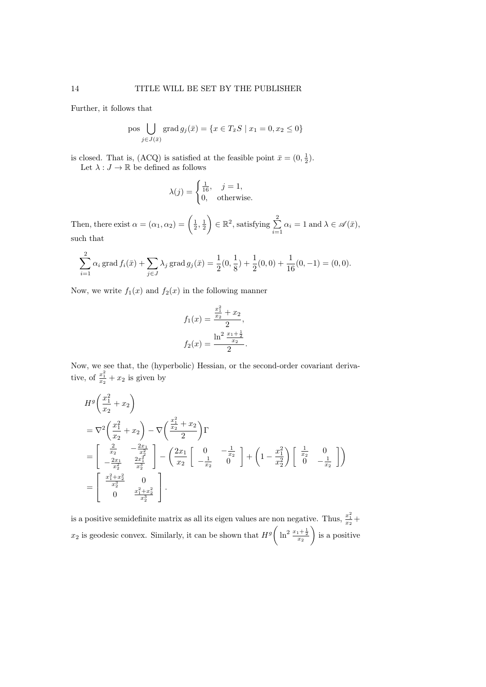Further, it follows that

pos 
$$
\bigcup_{j \in J(\bar{x})} \operatorname{grad} g_j(\bar{x}) = \{ x \in T_{\bar{x}}S \mid x_1 = 0, x_2 \le 0 \}
$$

is closed. That is, (ACQ) is satisfied at the feasible point  $\bar{x} = (0, \frac{1}{2})$ . Let  $\lambda:J\to\mathbb{R}$  be defined as follows

$$
\lambda(j) = \begin{cases} \frac{1}{16}, & j = 1, \\ 0, & \text{otherwise.} \end{cases}
$$

Then, there exist  $\alpha = (\alpha_1, \alpha_2) = \begin{pmatrix} \frac{1}{2}, \frac{1}{2} \end{pmatrix}$  $\Big) \in \mathbb{R}^2$ , satisfying  $\sum^2$  $\sum_{i=1} \alpha_i = 1$  and  $\lambda \in \mathscr{A}(\bar{x}),$ such that

$$
\sum_{i=1}^{2} \alpha_i \operatorname{grad} f_i(\bar{x}) + \sum_{j \in J} \lambda_j \operatorname{grad} g_j(\bar{x}) = \frac{1}{2}(0, \frac{1}{8}) + \frac{1}{2}(0, 0) + \frac{1}{16}(0, -1) = (0, 0).
$$

Now, we write  $f_1(x)$  and  $f_2(x)$  in the following manner

$$
f_1(x) = \frac{\frac{x_1^2}{x_2} + x_2}{2},
$$
  

$$
f_2(x) = \frac{\ln^2 \frac{x_1 + 1}{x_2}}{2}.
$$

Now, we see that, the (hyperbolic) Hessian, or the second-order covariant derivative, of  $\frac{x_1^2}{x_2} + x_2$  is given by

$$
H^{g}\left(\frac{x_{1}^{2}}{x_{2}}+x_{2}\right)
$$
  
=  $\nabla^{2}\left(\frac{x_{1}^{2}}{x_{2}}+x_{2}\right)-\nabla\left(\frac{\frac{x_{1}^{2}}{x_{2}}+x_{2}}{2}\right)\Gamma$   
=  $\begin{bmatrix} \frac{2}{x_{2}} & -\frac{2x_{1}}{x_{2}}\\ -\frac{2x_{1}}{x_{2}^{2}} & \frac{2x_{1}^{2}}{x_{2}^{2}} \end{bmatrix}-\left(\frac{2x_{1}}{x_{2}}\begin{bmatrix} 0 & -\frac{1}{x_{2}}\\ -\frac{1}{x_{2}} & 0 \end{bmatrix} + \left(1-\frac{x_{1}^{2}}{x_{2}^{2}}\right)\begin{bmatrix} \frac{1}{x_{2}} & 0\\ 0 & -\frac{1}{x_{2}} \end{bmatrix}\right)$   
=  $\begin{bmatrix} \frac{x_{1}^{2}+x_{2}^{2}}{x_{2}^{3}} & 0\\ 0 & \frac{x_{1}^{2}+x_{2}^{2}}{x_{2}^{3}} \end{bmatrix}.$ 

is a positive semidefinite matrix as all its eigen values are non negative. Thus,  $\frac{x_1^2}{x_2}$  +  $x_2$  is geodesic convex. Similarly, it can be shown that  $H^g\left(\ln^2\frac{x_1+\frac{1}{2}}{x_2}\right)$ is a positive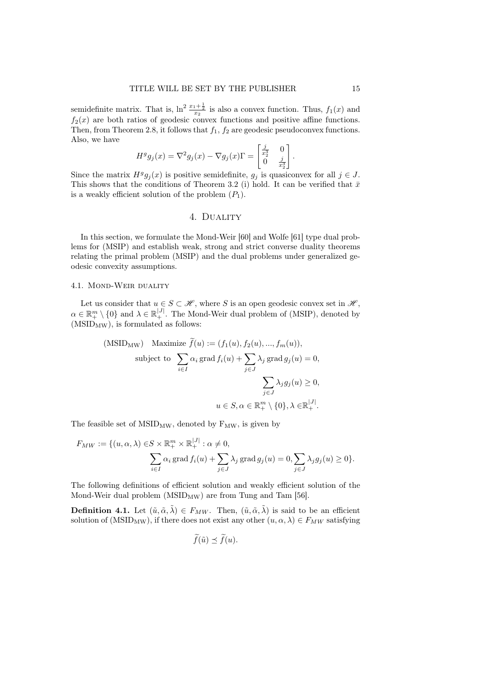semidefinite matrix. That is,  $\ln^2 \frac{x_1 + \frac{1}{2}}{x_2}$  is also a convex function. Thus,  $f_1(x)$  and  $f_2(x)$  are both ratios of geodesic convex functions and positive affine functions. Then, from Theorem 2.8, it follows that  $f_1, f_2$  are geodesic pseudoconvex functions. Also, we have

$$
H^g g_j(x) = \nabla^2 g_j(x) - \nabla g_j(x) \Gamma = \begin{bmatrix} \frac{j}{x_2^3} & 0\\ 0 & \frac{j}{x_2^3} \end{bmatrix}
$$

Since the matrix  $H^g g_j(x)$  is positive semidefinite,  $g_j$  is quasiconvex for all  $j \in J$ . This shows that the conditions of Theorem 3.2 (i) hold. It can be verified that  $\bar{x}$ is a weakly efficient solution of the problem  $(P_1)$ .

#### 4. Duality

In this section, we formulate the Mond-Weir [60] and Wolfe [61] type dual problems for (MSIP) and establish weak, strong and strict converse duality theorems relating the primal problem (MSIP) and the dual problems under generalized geodesic convexity assumptions.

#### 4.1. Mond-Weir duality

Let us consider that  $u \in S \subset \mathcal{H}$ , where S is an open geodesic convex set in  $\mathcal{H}$ ,  $\alpha \in \mathbb{R}^m_+ \setminus \{0\}$  and  $\lambda \in \mathbb{R}^{|J|}_+$ . The Mond-Weir dual problem of (MSIP), denoted by  $(MSID<sub>MW</sub>)$ , is formulated as follows:

(MSID<sub>MW</sub>) Maximize 
$$
f(u) := (f_1(u), f_2(u), ..., f_m(u)),
$$
  
\nsubject to 
$$
\sum_{i \in I} \alpha_i \operatorname{grad} f_i(u) + \sum_{j \in J} \lambda_j \operatorname{grad} g_j(u) = 0,
$$

$$
\sum_{j \in J} \lambda_j g_j(u) \ge 0,
$$

$$
u \in S, \alpha \in \mathbb{R}_+^m \setminus \{0\}, \lambda \in \mathbb{R}_+^{|J|}.
$$

The feasible set of  $MSID_{MW}$ , denoted by  $F_{MW}$ , is given by

$$
F_{MW} := \{(u, \alpha, \lambda) \in S \times \mathbb{R}_+^m \times \mathbb{R}_+^{|J|} : \alpha \neq 0, \sum_{i \in I} \alpha_i \operatorname{grad} f_i(u) + \sum_{j \in J} \lambda_j \operatorname{grad} g_j(u) = 0, \sum_{j \in J} \lambda_j g_j(u) \geq 0\}.
$$

The following definitions of efficient solution and weakly efficient solution of the Mond-Weir dual problem  $(MSID_{MW})$  are from Tung and Tam [56].

**Definition 4.1.** Let  $(\tilde{u}, \tilde{\alpha}, \tilde{\lambda}) \in F_{MW}$ . Then,  $(\tilde{u}, \tilde{\alpha}, \tilde{\lambda})$  is said to be an efficient solution of (MSID<sub>MW</sub>), if there does not exist any other  $(u, \alpha, \lambda) \in F_{MW}$  satisfying

$$
f(\tilde{u}) \preceq f(u).
$$

.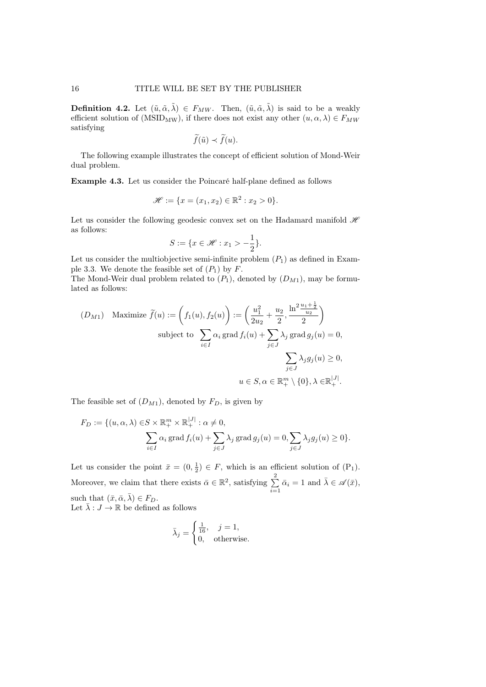**Definition 4.2.** Let  $(\tilde{u}, \tilde{\alpha}, \tilde{\lambda}) \in F_{MW}$ . Then,  $(\tilde{u}, \tilde{\alpha}, \tilde{\lambda})$  is said to be a weakly efficient solution of (MSID<sub>MW</sub>), if there does not exist any other  $(u, \alpha, \lambda) \in F_{MW}$ satisfying

$$
\widetilde{f}(\tilde{u}) \prec \widetilde{f}(u).
$$

The following example illustrates the concept of efficient solution of Mond-Weir dual problem.

Example 4.3. Let us consider the Poincaré half-plane defined as follows

$$
\mathscr{H} := \{ x = (x_1, x_2) \in \mathbb{R}^2 : x_2 > 0 \}.
$$

Let us consider the following geodesic convex set on the Hadamard manifold  $\mathcal{H}$ as follows:

$$
S := \{ x \in \mathcal{H} : x_1 > -\frac{1}{2} \}.
$$

Let us consider the multiobjective semi-infinite problem  $(P_1)$  as defined in Example 3.3. We denote the feasible set of  $(P_1)$  by  $F$ .

The Mond-Weir dual problem related to  $(P_1)$ , denoted by  $(D_{M1})$ , may be formulated as follows:

$$
(D_{M1}) \quad \text{Maximize } \tilde{f}(u) := \left(f_1(u), f_2(u)\right) := \left(\frac{u_1^2}{2u_2} + \frac{u_2}{2}, \frac{\ln^2 \frac{u_1 + \frac{1}{2}}{u_2}}{2}\right)
$$
\n
$$
\text{subject to } \sum_{i \in I} \alpha_i \text{ grad } f_i(u) + \sum_{j \in J} \lambda_j \text{ grad } g_j(u) = 0,
$$
\n
$$
\sum_{j \in J} \lambda_j g_j(u) \ge 0,
$$
\n
$$
u \in S, \alpha \in \mathbb{R}_+^m \setminus \{0\}, \lambda \in \mathbb{R}_+^{|J|}.
$$

The feasible set of  $(D_{M1})$ , denoted by  $F_D$ , is given by

$$
F_D := \{(u, \alpha, \lambda) \in S \times \mathbb{R}_+^m \times \mathbb{R}_+^{|J|} : \alpha \neq 0, \sum_{i \in I} \alpha_i \operatorname{grad} f_i(u) + \sum_{j \in J} \lambda_j \operatorname{grad} g_j(u) = 0, \sum_{j \in J} \lambda_j g_j(u) \geq 0 \}.
$$

Let us consider the point  $\bar{x} = (0, \frac{1}{2}) \in F$ , which is an efficient solution of  $(P_1)$ . Moreover, we claim that there exists  $\bar{\alpha} \in \mathbb{R}^2$ , satisfying  $\sum_{n=1}^{\infty}$  $\sum_{i=1}^{n} \bar{\alpha}_i = 1$  and  $\bar{\lambda} \in \mathscr{A}(\bar{x}),$ such that  $(\bar{x}, \bar{\alpha}, \bar{\lambda}) \in F_D$ . Let  $\bar{\lambda}: J \to \mathbb{R}$  be defined as follows

$$
\bar{\lambda}_j = \begin{cases} \frac{1}{16}, & j = 1, \\ 0, & \text{otherwise.} \end{cases}
$$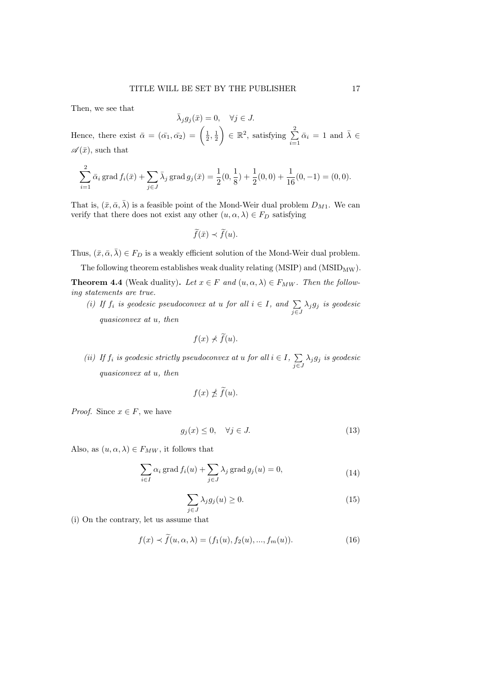Then, we see that

$$
\bar{\lambda}_j g_j(\bar{x}) = 0, \quad \forall j \in J.
$$

Hence, there exist  $\bar{\alpha} = (\bar{\alpha_1}, \bar{\alpha_2}) = \left(\frac{1}{2}, \frac{1}{2}\right)$  $\Big) \in \mathbb{R}^2$ , satisfying  $\sum^2$  $\sum_{i=1}^{n} \bar{\alpha}_i = 1$  and  $\bar{\lambda} \in$  $\mathscr{A}(\bar{x})$ , such that

$$
\sum_{i=1}^{2} \bar{\alpha}_i \operatorname{grad} f_i(\bar{x}) + \sum_{j \in J} \bar{\lambda}_j \operatorname{grad} g_j(\bar{x}) = \frac{1}{2}(0, \frac{1}{8}) + \frac{1}{2}(0, 0) + \frac{1}{16}(0, -1) = (0, 0).
$$

That is,  $(\bar{x}, \bar{\alpha}, \bar{\lambda})$  is a feasible point of the Mond-Weir dual problem  $D_{M1}$ . We can verify that there does not exist any other  $(u, \alpha, \lambda) \in F_D$  satisfying

$$
\widetilde{f}(\bar{x}) \prec \widetilde{f}(u).
$$

Thus,  $(\bar{x}, \bar{\alpha}, \bar{\lambda}) \in F_D$  is a weakly efficient solution of the Mond-Weir dual problem.

The following theorem establishes weak duality relating  $(MSIP)$  and  $(MSID_{MW})$ .

**Theorem 4.4** (Weak duality). Let  $x \in F$  and  $(u, \alpha, \lambda) \in F_{MW}$ . Then the following statements are true.

(i) If  $f_i$  is geodesic pseudoconvex at u for all  $i \in I$ , and  $\sum_{j \in J} \lambda_j g_j$  is geodesic quasiconvex at u, then

$$
f(x) \nless \widetilde{f}(u).
$$

(ii) If  $f_i$  is geodesic strictly pseudoconvex at u for all  $i \in I$ ,  $\sum$  $\sum_{j\in J}\lambda_jg_j$  is geodesic quasiconvex at u, then

$$
f(x) \npreceq \widetilde{f}(u).
$$

*Proof.* Since  $x \in F$ , we have

$$
g_j(x) \le 0, \quad \forall j \in J. \tag{13}
$$

Also, as  $(u, \alpha, \lambda) \in F_{MW}$ , it follows that

$$
\sum_{i \in I} \alpha_i \operatorname{grad} f_i(u) + \sum_{j \in J} \lambda_j \operatorname{grad} g_j(u) = 0,
$$
\n(14)

$$
\sum_{j \in J} \lambda_j g_j(u) \ge 0. \tag{15}
$$

(i) On the contrary, let us assume that

$$
f(x) \prec \tilde{f}(u, \alpha, \lambda) = (f_1(u), f_2(u), ..., f_m(u)).
$$
\n(16)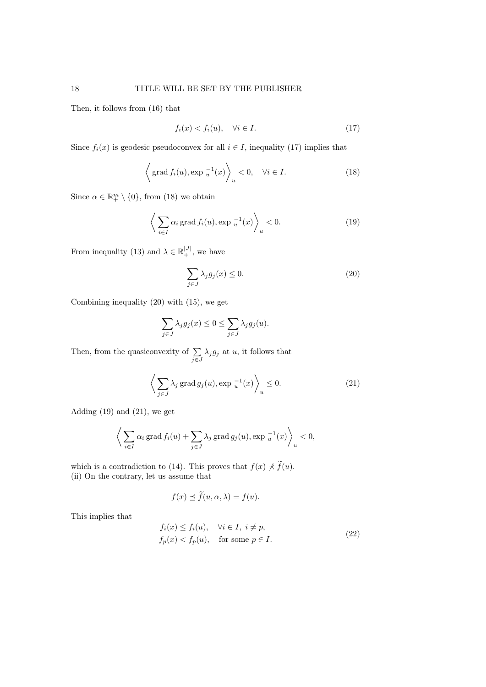Then, it follows from (16) that

$$
f_i(x) < f_i(u), \quad \forall i \in I. \tag{17}
$$

Since  $f_i(x)$  is geodesic pseudoconvex for all  $i \in I$ , inequality (17) implies that

$$
\left\langle \operatorname{grad} f_i(u), \operatorname{exp} \frac{-1}{u}(x) \right\rangle_u < 0, \quad \forall i \in I.
$$
 (18)

Since  $\alpha \in \mathbb{R}^m_+ \setminus \{0\}$ , from (18) we obtain

$$
\left\langle \sum_{i \in I} \alpha_i \operatorname{grad} f_i(u), \exp \frac{-1}{u}(x) \right\rangle_u < 0. \tag{19}
$$

From inequality (13) and  $\lambda \in \mathbb{R}^{|J|}_+$ , we have

$$
\sum_{j \in J} \lambda_j g_j(x) \le 0. \tag{20}
$$

Combining inequality (20) with (15), we get

$$
\sum_{j \in J} \lambda_j g_j(x) \le 0 \le \sum_{j \in J} \lambda_j g_j(u).
$$

Then, from the quasiconvexity of  $\Sigma$  $\sum_{j\in J} \lambda_j g_j$  at u, it follows that

$$
\left\langle \sum_{j \in J} \lambda_j \operatorname{grad} g_j(u), \exp \frac{-1}{u}(x) \right\rangle_u \le 0. \tag{21}
$$

Adding  $(19)$  and  $(21)$ , we get

$$
\left\langle \sum_{i \in I} \alpha_i \operatorname{grad} f_i(u) + \sum_{j \in J} \lambda_j \operatorname{grad} g_j(u), \operatorname{exp} \left. \frac{-1}{u}(x) \right\rangle_u < 0, \right\}
$$

which is a contradiction to (14). This proves that  $f(x) \nless \tilde{f}(u)$ . (ii) On the contrary, let us assume that

$$
f(x) \preceq \widetilde{f}(u, \alpha, \lambda) = f(u).
$$

This implies that

$$
f_i(x) \le f_i(u), \quad \forall i \in I, \ i \ne p,
$$
  

$$
f_p(x) < f_p(u), \quad \text{for some } p \in I.
$$
 (22)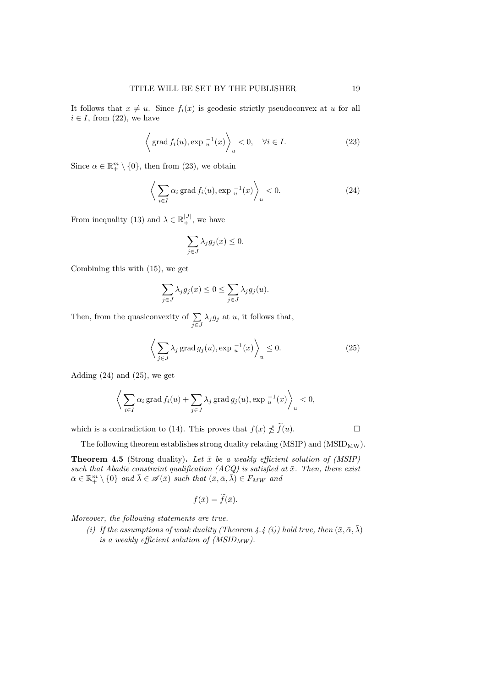It follows that  $x \neq u$ . Since  $f_i(x)$  is geodesic strictly pseudoconvex at u for all  $i \in I$ , from (22), we have

$$
\left\langle \operatorname{grad} f_i(u), \operatorname{exp} \frac{1}{u}(x) \right\rangle_u < 0, \quad \forall i \in I.
$$
 (23)

Since  $\alpha \in \mathbb{R}^m_+ \setminus \{0\}$ , then from (23), we obtain

$$
\left\langle \sum_{i \in I} \alpha_i \operatorname{grad} f_i(u), \exp \frac{-1}{u}(x) \right\rangle_u < 0. \tag{24}
$$

From inequality (13) and  $\lambda \in \mathbb{R}_+^{|J|}$ , we have

$$
\sum_{j \in J} \lambda_j g_j(x) \le 0.
$$

Combining this with (15), we get

$$
\sum_{j \in J} \lambda_j g_j(x) \le 0 \le \sum_{j \in J} \lambda_j g_j(u).
$$

Then, from the quasiconvexity of  $\Sigma$  $\sum_{j\in J} \lambda_j g_j$  at u, it follows that,

$$
\left\langle \sum_{j \in J} \lambda_j \operatorname{grad} g_j(u), \operatorname{exp}^{-1}_u(x) \right\rangle_u \le 0. \tag{25}
$$

Adding  $(24)$  and  $(25)$ , we get

$$
\bigg\langle \sum_{i \in I} \alpha_i \operatorname{grad} f_i(u) + \sum_{j \in J} \lambda_j \operatorname{grad} g_j(u), \operatorname{exp}^{-1}_u(x) \bigg\rangle_u < 0,
$$

which is a contradiction to (14). This proves that  $f(x) \nleq \tilde{f}(u)$ .

The following theorem establishes strong duality relating (MSIP) and ( $MSID_{MW}$ ).

**Theorem 4.5** (Strong duality). Let  $\bar{x}$  be a weakly efficient solution of (MSIP) such that Abadie constraint qualification (ACQ) is satisfied at  $\bar{x}$ . Then, there exist  $\bar{\alpha} \in \mathbb{R}^m_+ \setminus \{0\}$  and  $\bar{\lambda} \in \mathscr{A}(\bar{x})$  such that  $(\bar{x}, \bar{\alpha}, \bar{\lambda}) \in F_{MW}$  and

$$
f(\bar{x}) = f(\bar{x}).
$$

Moreover, the following statements are true.

(i) If the assumptions of weak duality (Theorem 4.4 (i)) hold true, then  $(\bar{x}, \bar{\alpha}, \bar{\lambda})$ is a weakly efficient solution of  $(MSID_{MW})$ .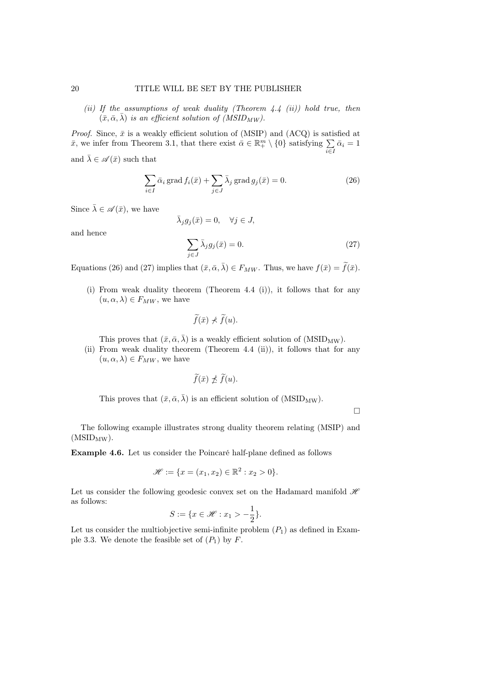(ii) If the assumptions of weak duality (Theorem  $4.4$  (ii)) hold true, then  $(\bar{x}, \bar{\alpha}, \bar{\lambda})$  is an efficient solution of (MSID<sub>MW</sub>).

*Proof.* Since,  $\bar{x}$  is a weakly efficient solution of (MSIP) and (ACQ) is satisfied at  $\bar{x}$ , we infer from Theorem 3.1, that there exist  $\bar{\alpha} \in \mathbb{R}^m_+ \setminus \{0\}$  satisfying  $\sum_{i \in I} \bar{\alpha}_i = 1$ 

and  $\bar{\lambda} \in \mathscr{A}(\bar{x})$  such that

$$
\sum_{i \in I} \bar{\alpha}_i \operatorname{grad} f_i(\bar{x}) + \sum_{j \in J} \bar{\lambda}_j \operatorname{grad} g_j(\bar{x}) = 0.
$$
 (26)

Since  $\bar{\lambda} \in \mathscr{A}(\bar{x})$ , we have

$$
\bar{\lambda}_j g_j(\bar{x}) = 0, \quad \forall j \in J,
$$

and hence

$$
\sum_{j \in J} \bar{\lambda}_j g_j(\bar{x}) = 0. \tag{27}
$$

Equations (26) and (27) implies that  $(\bar{x}, \bar{\alpha}, \bar{\lambda}) \in F_{MW}$ . Thus, we have  $f(\bar{x}) = \tilde{f}(\bar{x})$ .

(i) From weak duality theorem (Theorem 4.4 (i)), it follows that for any  $(u, \alpha, \lambda) \in F_{MW}$ , we have

$$
\widetilde{f}(\bar{x}) \nprec \widetilde{f}(u).
$$

This proves that  $(\bar{x}, \bar{\alpha}, \bar{\lambda})$  is a weakly efficient solution of (MSID<sub>MW</sub>).

(ii) From weak duality theorem (Theorem 4.4 (ii)), it follows that for any  $(u, \alpha, \lambda) \in F_{MW}$ , we have

$$
\widetilde{f}(\bar{x}) \npreceq \widetilde{f}(u).
$$

This proves that  $(\bar{x}, \bar{\alpha}, \bar{\lambda})$  is an efficient solution of (MSID<sub>MW</sub>).

 $\Box$ 

The following example illustrates strong duality theorem relating (MSIP) and  $(MSID_{MW}).$ 

Example 4.6. Let us consider the Poincaré half-plane defined as follows

$$
\mathcal{H} := \{ x = (x_1, x_2) \in \mathbb{R}^2 : x_2 > 0 \}.
$$

Let us consider the following geodesic convex set on the Hadamard manifold  $\mathcal{H}$ as follows:

$$
S := \{ x \in \mathcal{H} : x_1 > -\frac{1}{2} \}.
$$

Let us consider the multiobjective semi-infinite problem  $(P_1)$  as defined in Example 3.3. We denote the feasible set of  $(P_1)$  by F.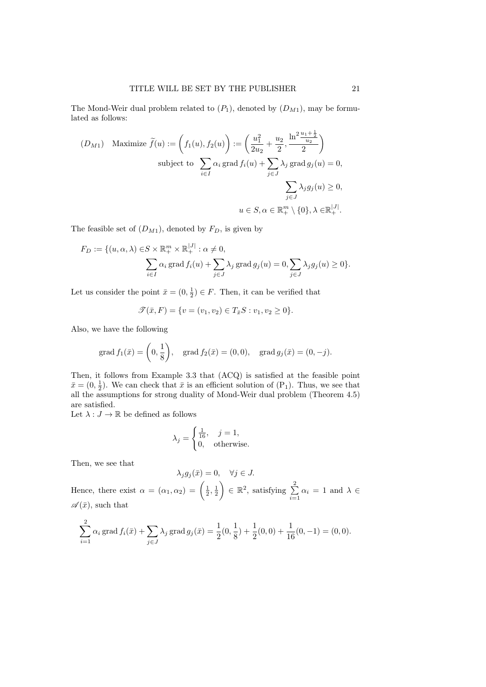The Mond-Weir dual problem related to  $(P_1)$ , denoted by  $(D_{M1})$ , may be formulated as follows:

$$
(D_{M1}) \quad \text{Maximize } \tilde{f}(u) := \left(f_1(u), f_2(u)\right) := \left(\frac{u_1^2}{2u_2} + \frac{u_2}{2}, \frac{\ln^2 \frac{u_1 + \frac{1}{2}}{u_2}}{2}\right)
$$
\n
$$
\text{subject to } \sum_{i \in I} \alpha_i \,\text{grad } f_i(u) + \sum_{j \in J} \lambda_j \,\text{grad } g_j(u) = 0,
$$
\n
$$
\sum_{j \in J} \lambda_j g_j(u) \ge 0,
$$
\n
$$
u \in S, \alpha \in \mathbb{R}_+^{m} \setminus \{0\}, \lambda \in \mathbb{R}_+^{|J|}.
$$

The feasible set of  $(D_{M1})$ , denoted by  $F_D$ , is given by

$$
F_D := \{ (u, \alpha, \lambda) \in S \times \mathbb{R}_+^m \times \mathbb{R}_+^{|J|} : \alpha \neq 0, \sum_{i \in I} \alpha_i \operatorname{grad} f_i(u) + \sum_{j \in J} \lambda_j \operatorname{grad} g_j(u) = 0, \sum_{j \in J} \lambda_j g_j(u) \geq 0 \}.
$$

Let us consider the point  $\bar{x} = (0, \frac{1}{2}) \in F$ . Then, it can be verified that

$$
\mathcal{T}(\bar{x}, F) = \{v = (v_1, v_2) \in T_{\bar{x}}S : v_1, v_2 \ge 0\}.
$$

Also, we have the following

grad 
$$
f_1(\bar{x}) = \left(0, \frac{1}{8}\right)
$$
, grad  $f_2(\bar{x}) = (0, 0)$ , grad  $g_j(\bar{x}) = (0, -j)$ .

Then, it follows from Example 3.3 that (ACQ) is satisfied at the feasible point  $\bar{x} = (0, \frac{1}{2})$ . We can check that  $\bar{x}$  is an efficient solution of  $(P_1)$ . Thus, we see that all the assumptions for strong duality of Mond-Weir dual problem (Theorem 4.5) are satisfied.

Let  $\lambda:J\to\mathbb{R}$  be defined as follows

$$
\lambda_j = \begin{cases} \frac{1}{16}, & j = 1, \\ 0, & \text{otherwise.} \end{cases}
$$

Then, we see that

$$
\lambda_j g_j(\bar{x}) = 0, \quad \forall j \in J.
$$

Hence, there exist  $\alpha = (\alpha_1, \alpha_2) = \left(\frac{1}{2}, \frac{1}{2}\right)$  $\Big) \in \mathbb{R}^2$ , satisfying  $\sum^2$  $\sum_{i=1}^{\infty} \alpha_i = 1$  and  $\lambda \in$  $\mathscr{A}(\bar{x})$ , such that

$$
\sum_{i=1}^{2} \alpha_i \operatorname{grad} f_i(\bar{x}) + \sum_{j \in J} \lambda_j \operatorname{grad} g_j(\bar{x}) = \frac{1}{2}(0, \frac{1}{8}) + \frac{1}{2}(0, 0) + \frac{1}{16}(0, -1) = (0, 0).
$$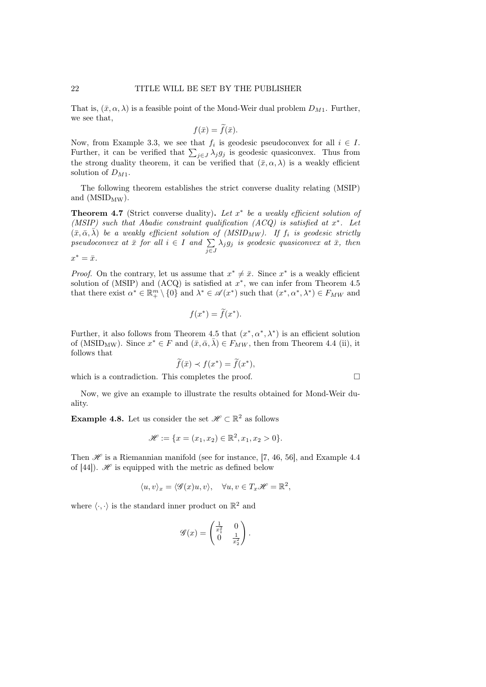That is,  $(\bar{x}, \alpha, \lambda)$  is a feasible point of the Mond-Weir dual problem  $D_{M1}$ . Further, we see that,

$$
f(\bar{x}) = f(\bar{x}).
$$

Now, from Example 3.3, we see that  $f_i$  is geodesic pseudoconvex for all  $i \in I$ . Further, it can be verified that  $\sum_{j\in J}\lambda_jg_j$  is geodesic quasiconvex. Thus from the strong duality theorem, it can be verified that  $(\bar{x}, \alpha, \lambda)$  is a weakly efficient solution of  $D_{M1}$ .

The following theorem establishes the strict converse duality relating (MSIP) and  $(MSID_{MW})$ .

**Theorem 4.7** (Strict converse duality). Let  $x^*$  be a weakly efficient solution of (MSIP) such that Abadie constraint qualification (ACQ) is satisfied at  $x^*$ . Let  $(\bar{x}, \bar{\alpha}, \bar{\lambda})$  be a weakly efficient solution of (MSID<sub>MW</sub>). If  $f_i$  is geodesic strictly pseudoconvex at  $\bar{x}$  for all  $i \in I$  and  $\sum$  $\sum_{j\in J} \lambda_j g_j$  is geodesic quasiconvex at  $\bar{x}$ , then  $x^* = \bar{x}.$ 

*Proof.* On the contrary, let us assume that  $x^* \neq \overline{x}$ . Since  $x^*$  is a weakly efficient solution of (MSIP) and (ACQ) is satisfied at  $x^*$ , we can infer from Theorem 4.5 that there exist  $\alpha^* \in \mathbb{R}^m_+ \setminus \{0\}$  and  $\lambda^* \in \mathscr{A}(x^*)$  such that  $(x^*, \alpha^*, \lambda^*) \in F_{MW}$  and

$$
f(x^*) = \tilde{f}(x^*).
$$

Further, it also follows from Theorem 4.5 that  $(x^*, \alpha^*, \lambda^*)$  is an efficient solution of (MSID<sub>MW</sub>). Since  $x^* \in F$  and  $(\bar{x}, \bar{\alpha}, \bar{\lambda}) \in F_{MW}$ , then from Theorem 4.4 (ii), it follows that

$$
\widetilde{f}(\bar{x}) \prec f(x^*) = \widetilde{f}(x^*),
$$

which is a contradiction. This completes the proof.  $\Box$ 

Now, we give an example to illustrate the results obtained for Mond-Weir duality.

**Example 4.8.** Let us consider the set  $\mathcal{H} \subset \mathbb{R}^2$  as follows

$$
\mathcal{H} := \{x = (x_1, x_2) \in \mathbb{R}^2, x_1, x_2 > 0\}.
$$

Then  $\mathscr H$  is a Riemannian manifold (see for instance, [7, 46, 56], and Example 4.4 of [44]).  $\mathscr H$  is equipped with the metric as defined below

$$
\langle u, v \rangle_x = \langle \mathcal{G}(x)u, v \rangle, \quad \forall u, v \in T_x \mathcal{H} = \mathbb{R}^2,
$$

where  $\langle \cdot, \cdot \rangle$  is the standard inner product on  $\mathbb{R}^2$  and

$$
\mathscr{G}(x) = \begin{pmatrix} \frac{1}{x_1^2} & 0\\ 0 & \frac{1}{x_2^2} \end{pmatrix}.
$$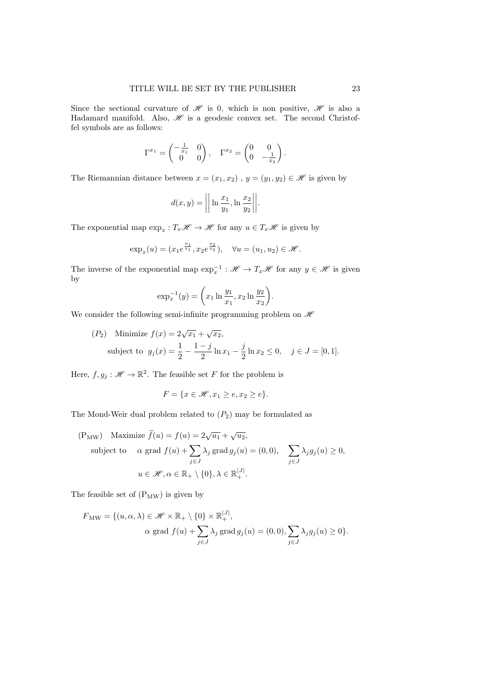Since the sectional curvature of  $\mathscr H$  is 0, which is non positive,  $\mathscr H$  is also a Hadamard manifold. Also,  $\mathcal H$  is a geodesic convex set. The second Christoffel symbols are as follows:

$$
\Gamma^{x_1} = \begin{pmatrix} -\frac{1}{x_1} & 0 \\ 0 & 0 \end{pmatrix}, \quad \Gamma^{x_2} = \begin{pmatrix} 0 & 0 \\ 0 & -\frac{1}{x_2} \end{pmatrix}.
$$

The Riemannian distance between  $x = (x_1, x_2)$ ,  $y = (y_1, y_2) \in \mathcal{H}$  is given by

$$
d(x,y) = \left\| \ln \frac{x_1}{y_1}, \ln \frac{x_2}{y_2} \right\|.
$$

The exponential map  $\exp_x: T_x\mathscr{H} \to \mathscr{H}$  for any  $u \in T_x\mathscr{H}$  is given by

$$
\exp_x(u) = (x_1 e^{\frac{u_1}{x_1}}, x_2 e^{\frac{u_2}{x_2}}), \quad \forall u = (u_1, u_2) \in \mathcal{H}.
$$

The inverse of the exponential map  $\exp_x^{-1} : \mathcal{H} \to T_x\mathcal{H}$  for any  $y \in \mathcal{H}$  is given by

$$
\exp_x^{-1}(y) = \left(x_1 \ln \frac{y_1}{x_1}, x_2 \ln \frac{y_2}{x_2}\right).
$$

We consider the following semi-infinite programming problem on  $\mathscr H$ 

(*P*<sub>2</sub>) Minimize  $f(x) = 2\sqrt{x_1} + \sqrt{x_2}$ , subject to  $g_j(x) = \frac{1}{2} - \frac{1-j}{2}$  $\frac{-j}{2}\ln x_1 - \frac{j}{2}$  $\frac{j}{2}\ln x_2 \leq 0, \quad j \in J = [0,1].$ 

Here,  $f, g_j : \mathcal{H} \to \mathbb{R}^2$ . The feasible set F for the problem is

$$
F = \{ x \in \mathcal{H}, x_1 \ge e, x_2 \ge e \}.
$$

The Mond-Weir dual problem related to  $(P_2)$  may be formulated as

$$
\begin{aligned} \text{(PMW)} \quad & \text{Maximize } \widetilde{f}(u) = f(u) = 2\sqrt{u_1} + \sqrt{u_2}, \\ & \text{subject to} \quad & \alpha \text{ grad } f(u) + \sum_{j \in J} \lambda_j \text{ grad } g_j(u) = (0,0), \quad \sum_{j \in J} \lambda_j g_j(u) \ge 0, \\ & u \in \mathcal{H}, \alpha \in \mathbb{R}_+ \setminus \{0\}, \lambda \in \mathbb{R}_+^{|J|}. \end{aligned}
$$

The feasible set of  $(P_{MW})$  is given by

$$
F_{\text{MW}} = \{ (u, \alpha, \lambda) \in \mathcal{H} \times \mathbb{R}_+ \setminus \{0\} \times \mathbb{R}_+^{|J|}, \alpha \text{ grad } f(u) + \sum_{j \in J} \lambda_j \text{ grad } g_j(u) = (0, 0), \sum_{j \in J} \lambda_j g_j(u) \ge 0 \}.
$$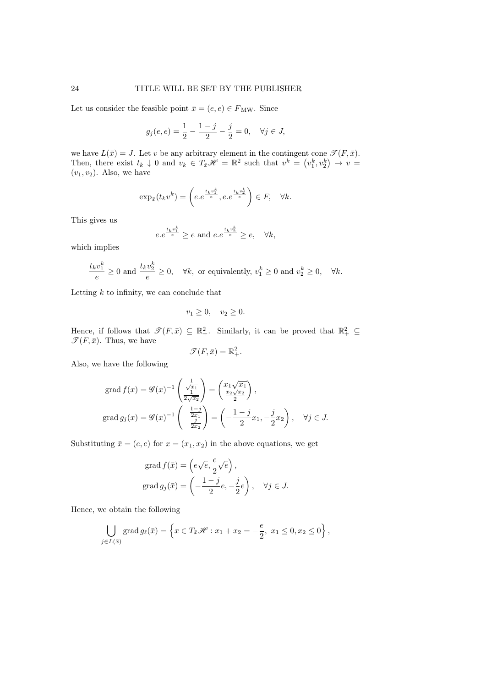Let us consider the feasible point  $\bar{x} = (e, e) \in F_{\text{MW}}$ . Since

$$
g_j(e, e) = \frac{1}{2} - \frac{1 - j}{2} - \frac{j}{2} = 0, \quad \forall j \in J,
$$

we have  $L(\bar{x}) = J$ . Let v be any arbitrary element in the contingent cone  $\mathcal{T}(F, \bar{x})$ . Then, there exist  $t_k \downarrow 0$  and  $v_k \in T_{\bar{x}}\mathscr{H} = \mathbb{R}^2$  such that  $v^k = (v_1^k, v_2^k) \rightarrow v =$  $(v_1, v_2)$ . Also, we have

$$
\exp_{\bar{x}}(t_k v^k) = \left(e.e^{\frac{t_k v_1^k}{e}}, e.e^{\frac{t_k v_2^k}{e}}\right) \in F, \quad \forall k.
$$

This gives us

$$
e.e^{\frac{t_k v_1^k}{e}} \ge e \text{ and } e.e^{\frac{t_k v_2^k}{e}} \ge e, \quad \forall k,
$$

which implies

$$
\frac{t_k v_1^k}{e} \ge 0 \text{ and } \frac{t_k v_2^k}{e} \ge 0, \quad \forall k, \text{ or equivalently, } v_1^k \ge 0 \text{ and } v_2^k \ge 0, \quad \forall k.
$$

Letting  $k$  to infinity, we can conclude that

$$
v_1 \ge 0, \quad v_2 \ge 0.
$$

Hence, if follows that  $\mathscr{T}(F,\bar{x}) \subseteq \mathbb{R}^2_+$ . Similarly, it can be proved that  $\mathbb{R}^2_+ \subseteq$  $\mathscr{T}(F,\bar{x})$ . Thus, we have

$$
\mathscr{T}(F,\bar{x}) = \mathbb{R}^2_+.
$$

Also, we have the following

$$
\operatorname{grad} f(x) = \mathscr{G}(x)^{-1} \left( \frac{\frac{1}{\sqrt{x_1}}}{\frac{1}{2\sqrt{x_2}}} \right) = \left( \frac{x_1 \sqrt{x_1}}{\frac{x_2 \sqrt{x_2}}{2}} \right),
$$

$$
\operatorname{grad} g_j(x) = \mathscr{G}(x)^{-1} \left( \frac{-\frac{1-j}{2x_1}}{-\frac{j}{2x_2}} \right) = \left( -\frac{1-j}{2} x_1, -\frac{j}{2} x_2 \right), \quad \forall j \in J.
$$

Substituting  $\bar{x} = (e, e)$  for  $x = (x_1, x_2)$  in the above equations, we get

$$
\operatorname{grad} f(\bar{x}) = \left( e\sqrt{e}, \frac{e}{2}\sqrt{e} \right),
$$

$$
\operatorname{grad} g_j(\bar{x}) = \left( -\frac{1-j}{2}e, -\frac{j}{2}e \right), \quad \forall j \in J.
$$

Hence, we obtain the following

$$
\bigcup_{j \in L(\bar{x})} \operatorname{grad} g_{\ell}(\bar{x}) = \left\{ x \in T_{\bar{x}} \mathscr{H} : x_1 + x_2 = -\frac{e}{2}, \ x_1 \le 0, x_2 \le 0 \right\},\,
$$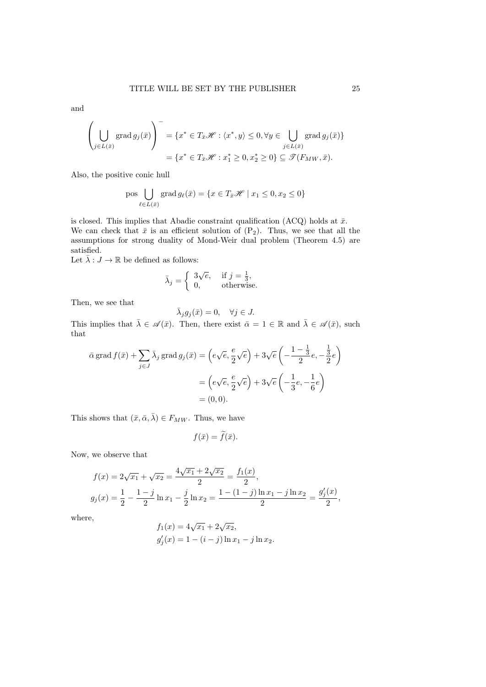and

$$
\left(\bigcup_{j\in L(\bar{x})}\operatorname{grad} g_j(\bar{x})\right)^{-} = \{x^* \in T_{\bar{x}}\mathscr{H} : \langle x^*,y\rangle \leq 0, \forall y \in \bigcup_{j\in L(\bar{x})}\operatorname{grad} g_j(\bar{x})\}
$$

$$
= \{x^* \in T_{\bar{x}}\mathscr{H} : x_1^* \geq 0, x_2^* \geq 0\} \subseteq \mathscr{T}(F_{MW}, \bar{x}).
$$

Also, the positive conic hull

pos 
$$
\bigcup_{\ell \in L(\bar{x})}
$$
 grad  $g_{\ell}(\bar{x}) = \{x \in T_{\bar{x}}\mathcal{H} \mid x_1 \leq 0, x_2 \leq 0\}$ 

is closed. This implies that Abadie constraint qualification (ACQ) holds at  $\bar{x}$ . We can check that  $\bar{x}$  is an efficient solution of  $(P_2)$ . Thus, we see that all the assumptions for strong duality of Mond-Weir dual problem (Theorem 4.5) are satisfied.

Let  $\bar{\lambda}:J\to\mathbb{R}$  be defined as follows:

$$
\bar{\lambda}_j = \begin{cases} 3\sqrt{e}, & \text{if } j = \frac{1}{3}, \\ 0, & \text{otherwise.} \end{cases}
$$

Then, we see that

$$
\bar{\lambda}_j g_j(\bar{x}) = 0, \quad \forall j \in J.
$$

This implies that  $\bar{\lambda} \in \mathscr{A}(\bar{x})$ . Then, there exist  $\bar{\alpha} = 1 \in \mathbb{R}$  and  $\bar{\lambda} \in \mathscr{A}(\bar{x})$ , such that

$$
\bar{\alpha} \operatorname{grad} f(\bar{x}) + \sum_{j \in J} \bar{\lambda}_j \operatorname{grad} g_j(\bar{x}) = \left( e \sqrt{e}, \frac{e}{2} \sqrt{e} \right) + 3 \sqrt{e} \left( -\frac{1 - \frac{1}{3}}{2} e, -\frac{1}{2} e \right)
$$

$$
= \left( e \sqrt{e}, \frac{e}{2} \sqrt{e} \right) + 3 \sqrt{e} \left( -\frac{1}{3} e, -\frac{1}{6} e \right)
$$

$$
= (0, 0).
$$

This shows that  $(\bar{x}, \bar{\alpha}, \bar{\lambda}) \in F_{MW}$ . Thus, we have

$$
f(\bar{x}) = \tilde{f}(\bar{x}).
$$

Now, we observe that

$$
f(x) = 2\sqrt{x_1} + \sqrt{x_2} = \frac{4\sqrt{x_1} + 2\sqrt{x_2}}{2} = \frac{f_1(x)}{2},
$$
  

$$
g_j(x) = \frac{1}{2} - \frac{1-j}{2}\ln x_1 - \frac{j}{2}\ln x_2 = \frac{1 - (1-j)\ln x_1 - j\ln x_2}{2} = \frac{g_j'(x)}{2},
$$

where,

$$
f_1(x) = 4\sqrt{x_1} + 2\sqrt{x_2},
$$
  
\n
$$
g'_j(x) = 1 - (i - j) \ln x_1 - j \ln x_2.
$$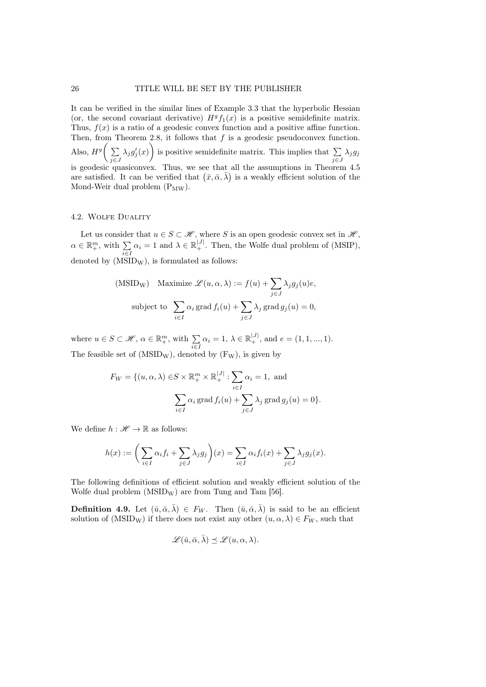It can be verified in the similar lines of Example 3.3 that the hyperbolic Hessian (or, the second covariant derivative)  $H^g f_1(x)$  is a positive semidefinite matrix. Thus,  $f(x)$  is a ratio of a geodesic convex function and a positive affine function. Then, from Theorem 2.8, it follows that  $f$  is a geodesic pseudoconvex function. Also,  $H^g\left(\sum\right)$  $\sum_{j\in J} \lambda_j g'_j(x)$  is positive semidefinite matrix. This implies that  $\sum_{j\in J}$  $\sum_{j\in J}\lambda_jg_j$ is geodesic quasiconvex. Thus, we see that all the assumptions in Theorem 4.5 are satisfied. It can be verified that  $(\bar{x}, \bar{\alpha}, \bar{\lambda})$  is a weakly efficient solution of the Mond-Weir dual problem  $(P_{MW})$ .

### 4.2. Wolfe Duality

Let us consider that  $u \in S \subset \mathcal{H}$ , where S is an open geodesic convex set in  $\mathcal{H}$ ,  $\alpha \in \mathbb{R}^m_+$ , with  $\sum_{i \in I} \alpha_i = 1$  and  $\lambda \in \mathbb{R}^{|J|}_+$ . Then, the Wolfe dual problem of (MSIP), denoted by  $(MSID_W)$ , is formulated as follows:

(MSIDw) Maximize 
$$
\mathcal{L}(u, \alpha, \lambda) := f(u) + \sum_{j \in J} \lambda_j g_j(u)e
$$
,  
subject to 
$$
\sum_{i \in I} \alpha_i \operatorname{grad} f_i(u) + \sum_{j \in J} \lambda_j \operatorname{grad} g_j(u) = 0,
$$

where  $u \in S \subset \mathcal{H}, \, \alpha \in \mathbb{R}^m_+$ , with  $\sum_{i \in I} \alpha_i = 1, \, \lambda \in \mathbb{R}^{|J|}_+$ , and  $e = (1, 1, ..., 1)$ . The feasible set of  $(MSID_W)$ , denoted by  $(F_W)$ , is given by

$$
F_W = \{(u, \alpha, \lambda) \in S \times \mathbb{R}_+^m \times \mathbb{R}_+^{|J|} : \sum_{i \in I} \alpha_i = 1, \text{ and}
$$

$$
\sum_{i \in I} \alpha_i \operatorname{grad} f_i(u) + \sum_{j \in J} \lambda_j \operatorname{grad} g_j(u) = 0\}.
$$

We define  $h : \mathcal{H} \to \mathbb{R}$  as follows:

$$
h(x) := \bigg(\sum_{i \in I} \alpha_i f_i + \sum_{j \in J} \lambda_j g_j\bigg)(x) = \sum_{i \in I} \alpha_i f_i(x) + \sum_{j \in J} \lambda_j g_j(x).
$$

The following definitions of efficient solution and weakly efficient solution of the Wolfe dual problem  $(MSID_W)$  are from Tung and Tam [56].

**Definition 4.9.** Let  $(\bar{u}, \bar{\alpha}, \bar{\lambda}) \in F_W$ . Then  $(\bar{u}, \bar{\alpha}, \bar{\lambda})$  is said to be an efficient solution of (MSID<sub>W</sub>) if there does not exist any other  $(u, \alpha, \lambda) \in F_W$ , such that

$$
\mathscr{L}(\bar{u}, \bar{\alpha}, \bar{\lambda}) \preceq \mathscr{L}(u, \alpha, \lambda).
$$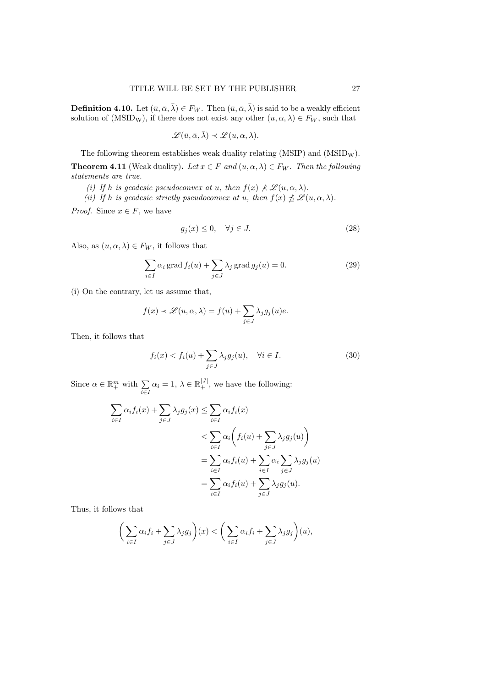**Definition 4.10.** Let  $(\bar{u}, \bar{\alpha}, \bar{\lambda}) \in F_W$ . Then  $(\bar{u}, \bar{\alpha}, \bar{\lambda})$  is said to be a weakly efficient solution of (MSID<sub>W</sub>), if there does not exist any other  $(u, \alpha, \lambda) \in F_W$ , such that

$$
\mathscr{L}(\bar{u}, \bar{\alpha}, \bar{\lambda}) \prec \mathscr{L}(u, \alpha, \lambda).
$$

The following theorem establishes weak duality relating  $(MSIP)$  and  $(MSID<sub>W</sub>)$ .

**Theorem 4.11** (Weak duality). Let  $x \in F$  and  $(u, \alpha, \lambda) \in F_W$ . Then the following statements are true.

(i) If h is geodesic pseudoconvex at u, then  $f(x) \nless \mathscr{L}(u, \alpha, \lambda)$ .

(ii) If h is geodesic strictly pseudoconvex at u, then  $f(x) \nleq \mathscr{L}(u, \alpha, \lambda)$ .

*Proof.* Since  $x \in F$ , we have

$$
g_j(x) \le 0, \quad \forall j \in J. \tag{28}
$$

Also, as  $(u, \alpha, \lambda) \in F_W$ , it follows that

$$
\sum_{i \in I} \alpha_i \operatorname{grad} f_i(u) + \sum_{j \in J} \lambda_j \operatorname{grad} g_j(u) = 0.
$$
 (29)

(i) On the contrary, let us assume that,

$$
f(x) \prec \mathscr{L}(u, \alpha, \lambda) = f(u) + \sum_{j \in J} \lambda_j g_j(u)e.
$$

Then, it follows that

$$
f_i(x) < f_i(u) + \sum_{j \in J} \lambda_j g_j(u), \quad \forall i \in I. \tag{30}
$$

Since  $\alpha \in \mathbb{R}^m_+$  with  $\sum_{i \in I} \alpha_i = 1, \lambda \in \mathbb{R}^{|J|}_+$ , we have the following:

$$
\sum_{i \in I} \alpha_i f_i(x) + \sum_{j \in J} \lambda_j g_j(x) \le \sum_{i \in I} \alpha_i f_i(x)
$$
\n
$$
< \sum_{i \in I} \alpha_i \left( f_i(u) + \sum_{j \in J} \lambda_j g_j(u) \right)
$$
\n
$$
= \sum_{i \in I} \alpha_i f_i(u) + \sum_{i \in I} \alpha_i \sum_{j \in J} \lambda_j g_j(u)
$$
\n
$$
= \sum_{i \in I} \alpha_i f_i(u) + \sum_{j \in J} \lambda_j g_j(u).
$$

Thus, it follows that

$$
\bigg(\sum_{i\in I}\alpha_if_i+\sum_{j\in J}\lambda_jg_j\bigg)(x)<\bigg(\sum_{i\in I}\alpha_if_i+\sum_{j\in J}\lambda_jg_j\bigg)(u),
$$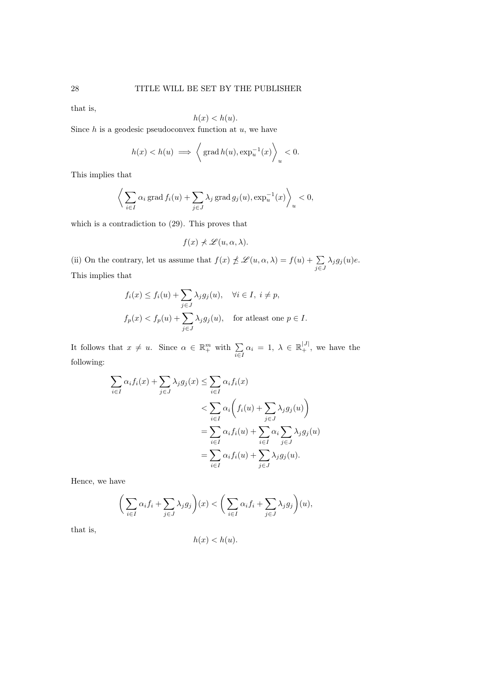that is,

$$
h(x) < h(u).
$$

Since  $h$  is a geodesic pseudoconvex function at  $u$ , we have

$$
h(x) < h(u) \implies \left\langle \text{grad } h(u), \exp_u^{-1}(x) \right\rangle_u < 0.
$$

This implies that

$$
\bigg\langle \sum_{i \in I} \alpha_i \operatorname{grad} f_i(u) + \sum_{j \in J} \lambda_j \operatorname{grad} g_j(u), \exp_u^{-1}(x) \bigg\rangle_u < 0,
$$

which is a contradiction to (29). This proves that

$$
f(x) \nprec \mathscr{L}(u, \alpha, \lambda).
$$

(ii) On the contrary, let us assume that  $f(x) \npreceq \mathscr{L}(u, \alpha, \lambda) = f(u) + \sum_{j \in J} \lambda_j g_j(u)e$ . This implies that

$$
f_i(x) \le f_i(u) + \sum_{j \in J} \lambda_j g_j(u), \quad \forall i \in I, \ i \ne p,
$$
  

$$
f_p(x) < f_p(u) + \sum_{j \in J} \lambda_j g_j(u), \quad \text{for at least one } p \in I.
$$

It follows that  $x \neq u$ . Since  $\alpha \in \mathbb{R}^m_+$  with  $\sum_{i \in I} \alpha_i = 1, \lambda \in \mathbb{R}^{|J|}_+$ , we have the following:

$$
\sum_{i \in I} \alpha_i f_i(x) + \sum_{j \in J} \lambda_j g_j(x) \le \sum_{i \in I} \alpha_i f_i(x)
$$
  

$$
< \sum_{i \in I} \alpha_i \left( f_i(u) + \sum_{j \in J} \lambda_j g_j(u) \right)
$$
  

$$
= \sum_{i \in I} \alpha_i f_i(u) + \sum_{i \in I} \alpha_i \sum_{j \in J} \lambda_j g_j(u)
$$
  

$$
= \sum_{i \in I} \alpha_i f_i(u) + \sum_{j \in J} \lambda_j g_j(u).
$$

Hence, we have

$$
\bigg(\sum_{i\in I}\alpha_if_i+\sum_{j\in J}\lambda_jg_j\bigg)(x)<\bigg(\sum_{i\in I}\alpha_if_i+\sum_{j\in J}\lambda_jg_j\bigg)(u),
$$

that is,

$$
h(x) < h(u).
$$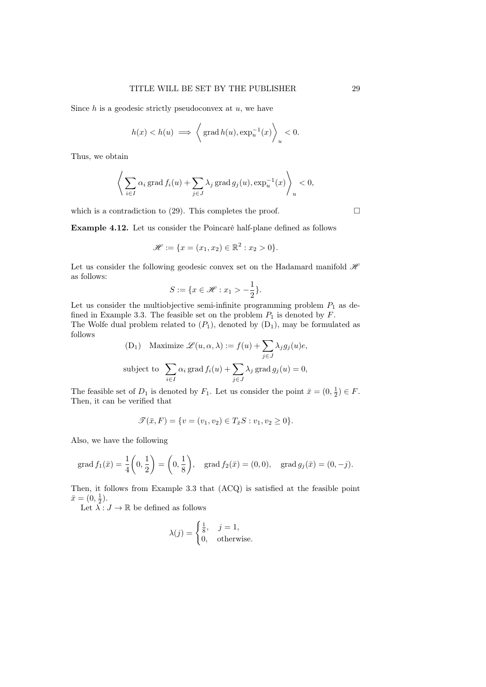Since  $h$  is a geodesic strictly pseudoconvex at  $u$ , we have

$$
h(x) < h(u) \implies \left\langle \text{grad } h(u), \exp_u^{-1}(x) \right\rangle_u < 0.
$$

Thus, we obtain

$$
\left\langle \sum_{i \in I} \alpha_i \operatorname{grad} f_i(u) + \sum_{j \in J} \lambda_j \operatorname{grad} g_j(u), \exp_u^{-1}(x) \right\rangle_u < 0,
$$

which is a contradiction to (29). This completes the proof.  $\Box$ 

Example 4.12. Let us consider the Poincaré half-plane defined as follows

$$
\mathcal{H} := \{x = (x_1, x_2) \in \mathbb{R}^2 : x_2 > 0\}.
$$

Let us consider the following geodesic convex set on the Hadamard manifold  $\mathcal{H}$ as follows:

$$
S := \{ x \in \mathcal{H} : x_1 > -\frac{1}{2} \}.
$$

Let us consider the multiobjective semi-infinite programming problem  $P_1$  as defined in Example 3.3. The feasible set on the problem  $P_1$  is denoted by  $F$ . The Wolfe dual problem related to  $(P_1)$ , denoted by  $(D_1)$ , may be formulated as follows

(D<sub>1</sub>) Maximize 
$$
\mathcal{L}(u, \alpha, \lambda) := f(u) + \sum_{j \in J} \lambda_j g_j(u)e
$$
,  
subject to  $\sum_{i \in I} \alpha_i \text{ grad } f_i(u) + \sum_{j \in J} \lambda_j \text{ grad } g_j(u) = 0$ ,

The feasible set of  $D_1$  is denoted by  $F_1$ . Let us consider the point  $\bar{x} = (0, \frac{1}{2}) \in F$ . Then, it can be verified that

$$
\mathscr{T}(\bar{x}, F) = \{v = (v_1, v_2) \in T_{\bar{x}}S : v_1, v_2 \ge 0\}.
$$

Also, we have the following

grad 
$$
f_1(\bar{x}) = \frac{1}{4} \left( 0, \frac{1}{2} \right) = \left( 0, \frac{1}{8} \right)
$$
, grad  $f_2(\bar{x}) = (0, 0)$ , grad  $g_j(\bar{x}) = (0, -j)$ .

Then, it follows from Example 3.3 that (ACQ) is satisfied at the feasible point  $\bar{x} = (0, \frac{1}{2}).$ 

Let  $\overline{\lambda}:J\to\mathbb{R}$  be defined as follows

$$
\lambda(j) = \begin{cases} \frac{1}{8}, & j = 1, \\ 0, & \text{otherwise.} \end{cases}
$$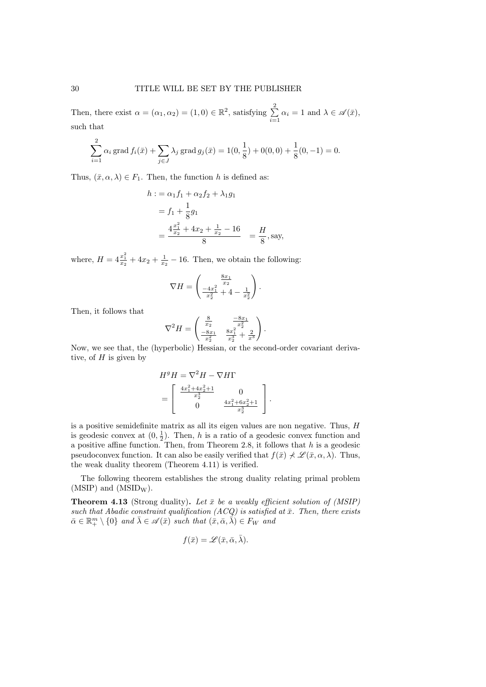Then, there exist  $\alpha = (\alpha_1, \alpha_2) = (1, 0) \in \mathbb{R}^2$ , satisfying  $\sum^2$  $\sum_{i=1} \alpha_i = 1$  and  $\lambda \in \mathscr{A}(\bar{x}),$ such that

$$
\sum_{i=1}^{2} \alpha_i \operatorname{grad} f_i(\bar{x}) + \sum_{j \in J} \lambda_j \operatorname{grad} g_j(\bar{x}) = 1(0, \frac{1}{8}) + 0(0, 0) + \frac{1}{8}(0, -1) = 0.
$$

Thus,  $(\bar{x}, \alpha, \lambda) \in F_1$ . Then, the function h is defined as:

$$
h := \alpha_1 f_1 + \alpha_2 f_2 + \lambda_1 g_1
$$
  
=  $f_1 + \frac{1}{8} g_1$   
=  $\frac{4 \frac{x_1^2}{x_2} + 4x_2 + \frac{1}{x_2} - 16}{8} = \frac{H}{8}$ , say,

where,  $H = 4\frac{x_1^2}{x_2} + 4x_2 + \frac{1}{x_2} - 16$ . Then, we obtain the following:

$$
\nabla H = \begin{pmatrix} \frac{8x_1}{x_2} \\ \frac{-4x_1^2}{x_2^2} + 4 - \frac{1}{x_2^2} \end{pmatrix}.
$$

Then, it follows that

$$
\nabla^2 H = \begin{pmatrix} \frac{8}{x_2} & \frac{-8x_1}{x_2^2} \\ \frac{-8x_1}{x_2^2} & \frac{8x_1^2}{x_2^3} + \frac{2}{x^3} \end{pmatrix}.
$$

Now, we see that, the (hyperbolic) Hessian, or the second-order covariant derivative, of  $H$  is given by

$$
HgH = \nabla^2 H - \nabla H\Gamma
$$
  
= 
$$
\begin{bmatrix} \frac{4x_1^2 + 4x_2^2 + 1}{x_2^3} & 0\\ 0 & \frac{4x_1^2 + 6x_2^2 + 1}{x_2^3} \end{bmatrix}.
$$

is a positive semidefinite matrix as all its eigen values are non negative. Thus, H is geodesic convex at  $(0, \frac{1}{2})$ . Then, h is a ratio of a geodesic convex function and a positive affine function. Then, from Theorem 2.8, it follows that  $h$  is a geodesic pseudoconvex function. It can also be easily verified that  $f(\bar{x}) \nless \mathscr{L}(\bar{x}, \alpha, \lambda)$ . Thus, the weak duality theorem (Theorem 4.11) is verified.

The following theorem establishes the strong duality relating primal problem  $(MSIP)$  and  $(MSID<sub>W</sub>)$ .

**Theorem 4.13** (Strong duality). Let  $\bar{x}$  be a weakly efficient solution of (MSIP) such that Abadie constraint qualification  $(ACQ)$  is satisfied at  $\bar{x}$ . Then, there exists  $\bar{\alpha} \in \mathbb{R}^m_+ \setminus \{0\}$  and  $\bar{\lambda} \in \mathscr{A}(\bar{x})$  such that  $(\bar{x}, \bar{\alpha}, \bar{\lambda}) \in F_W$  and

$$
f(\bar{x}) = \mathscr{L}(\bar{x}, \bar{\alpha}, \bar{\lambda}).
$$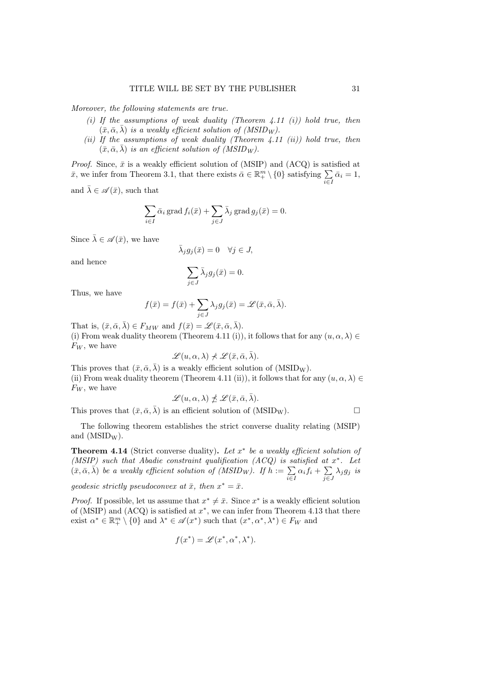Moreover, the following statements are true.

- (i) If the assumptions of weak duality (Theorem 4.11  $(i)$ ) hold true, then  $(\bar{x}, \bar{\alpha}, \bar{\lambda})$  is a weakly efficient solution of (MSID<sub>W</sub>).
- (ii) If the assumptions of weak duality (Theorem  $4.11$  (ii)) hold true, then  $(\bar{x}, \bar{\alpha}, \bar{\lambda})$  is an efficient solution of (MSID<sub>W</sub>).

*Proof.* Since,  $\bar{x}$  is a weakly efficient solution of (MSIP) and (ACQ) is satisfied at  $\bar{x}$ , we infer from Theorem 3.1, that there exists  $\bar{\alpha} \in \mathbb{R}^m_+ \setminus \{0\}$  satisfying  $\sum_{i \in I} \bar{\alpha}_i = 1$ ,

and  $\bar{\lambda} \in \mathscr{A}(\bar{x})$ , such that

$$
\sum_{i \in I} \bar{\alpha}_i \operatorname{grad} f_i(\bar{x}) + \sum_{j \in J} \bar{\lambda}_j \operatorname{grad} g_j(\bar{x}) = 0.
$$

Since  $\bar{\lambda} \in \mathscr{A}(\bar{x})$ , we have

$$
\bar{\lambda}_j g_j(\bar{x}) = 0 \quad \forall j \in J,
$$

and hence

$$
\sum_{j \in J} \bar{\lambda}_j g_j(\bar{x}) = 0.
$$

Thus, we have

$$
f(\bar{x}) = f(\bar{x}) + \sum_{j \in J} \lambda_j g_j(\bar{x}) = \mathscr{L}(\bar{x}, \bar{\alpha}, \bar{\lambda}).
$$

That is,  $(\bar{x}, \bar{\alpha}, \bar{\lambda}) \in F_{MW}$  and  $f(\bar{x}) = \mathscr{L}(\bar{x}, \bar{\alpha}, \bar{\lambda}).$ (i) From weak duality theorem (Theorem 4.11 (i)), it follows that for any  $(u, \alpha, \lambda) \in$  $F_W$ , we have

$$
\mathscr{L}(u,\alpha,\lambda)\nprec\mathscr{L}(\bar{x},\bar{\alpha},\bar{\lambda}).
$$

This proves that  $(\bar{x}, \bar{\alpha}, \bar{\lambda})$  is a weakly efficient solution of (MSID<sub>W</sub>). (ii) From weak duality theorem (Theorem 4.11 (ii)), it follows that for any  $(u, \alpha, \lambda) \in$ 

 $F_W$ , we have

$$
\mathscr{L}(u,\alpha,\lambda) \npreceq \mathscr{L}(\bar{x},\bar{\alpha},\bar{\lambda}).
$$

This proves that  $(\bar{x}, \bar{\alpha}, \bar{\lambda})$  is an efficient solution of (MSID<sub>W</sub>).

The following theorem establishes the strict converse duality relating (MSIP) and  $(MSID_W)$ .

**Theorem 4.14** (Strict converse duality). Let  $x^*$  be a weakly efficient solution of (MSIP) such that Abadie constraint qualification  $(ACQ)$  is satisfied at  $x^*$ . Let  $(\bar{x}, \bar{\alpha}, \bar{\lambda})$  be a weakly efficient solution of  $(MSID_W)$ . If  $\hat{h} := \sum_{i \in I} \alpha_i f_i + \sum_{j \in \mathbb{Z}}$  $\sum_{j\in J}\lambda_jg_j$  is

geodesic strictly pseudoconvex at  $\bar{x}$ , then  $x^* = \bar{x}$ .

*Proof.* If possible, let us assume that  $x^* \neq \overline{x}$ . Since  $x^*$  is a weakly efficient solution of (MSIP) and  $(ACQ)$  is satisfied at  $x^*$ , we can infer from Theorem 4.13 that there exist  $\alpha^* \in \mathbb{R}^m_+ \setminus \{0\}$  and  $\lambda^* \in \mathscr{A}(x^*)$  such that  $(x^*, \alpha^*, \lambda^*) \in F_W$  and

$$
f(x^*) = \mathscr{L}(x^*, \alpha^*, \lambda^*).
$$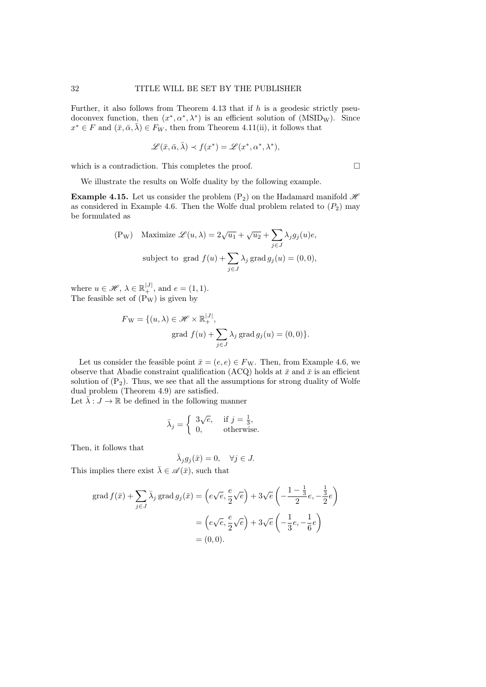Further, it also follows from Theorem 4.13 that if  $h$  is a geodesic strictly pseudoconvex function, then  $(x^*, \alpha^*, \lambda^*)$  is an efficient solution of  $(MSID_W)$ . Since  $x^* \in F$  and  $(\bar{x}, \bar{\alpha}, \bar{\lambda}) \in F_W$ , then from Theorem 4.11(ii), it follows that

$$
\mathscr{L}(\bar{x}, \bar{\alpha}, \bar{\lambda}) \prec f(x^*) = \mathscr{L}(x^*, \alpha^*, \lambda^*),
$$

which is a contradiction. This completes the proof.  $\Box$ 

We illustrate the results on Wolfe duality by the following example.

**Example 4.15.** Let us consider the problem  $(P_2)$  on the Hadamard manifold  $\mathcal{H}$ as considered in Example 4.6. Then the Wolfe dual problem related to  $(P_2)$  may be formulated as

$$
\text{(P_W)} \quad \text{Maximize } \mathcal{L}(u, \lambda) = 2\sqrt{u_1} + \sqrt{u_2} + \sum_{j \in J} \lambda_j g_j(u)e,
$$
\n
$$
\text{subject to } \text{grad } f(u) + \sum_{j \in J} \lambda_j \text{ grad } g_j(u) = (0, 0),
$$

where  $u \in \mathcal{H}, \lambda \in \mathbb{R}_+^{|J|}$ , and  $e = (1, 1)$ . The feasible set of  $(P_W)$  is given by

$$
F_{\mathbf{W}} = \{ (u, \lambda) \in \mathcal{H} \times \mathbb{R}_{+}^{|J|},
$$
  
grad  $f(u) + \sum_{j \in J} \lambda_j$  grad  $g_j(u) = (0, 0) \}.$ 

Let us consider the feasible point  $\bar{x} = (e, e) \in F_W$ . Then, from Example 4.6, we observe that Abadie constraint qualification (ACQ) holds at  $\bar{x}$  and  $\bar{x}$  is an efficient solution of  $(P_2)$ . Thus, we see that all the assumptions for strong duality of Wolfe dual problem (Theorem 4.9) are satisfied.

Let  $\bar{\lambda}:J\to\mathbb{R}$  be defined in the following manner

$$
\bar{\lambda}_j = \begin{cases} 3\sqrt{e}, & \text{if } j = \frac{1}{3}, \\ 0, & \text{otherwise.} \end{cases}
$$

Then, it follows that

$$
\bar{\lambda}_j g_j(\bar{x}) = 0, \quad \forall j \in J.
$$

This implies there exist  $\bar{\lambda} \in \mathscr{A}(\bar{x})$ , such that

$$
\operatorname{grad} f(\bar{x}) + \sum_{j \in J} \bar{\lambda}_j \operatorname{grad} g_j(\bar{x}) = \left( e \sqrt{e}, \frac{e}{2} \sqrt{e} \right) + 3 \sqrt{e} \left( -\frac{1 - \frac{1}{3}}{2} e, -\frac{1}{2} e \right)
$$

$$
= \left( e \sqrt{e}, \frac{e}{2} \sqrt{e} \right) + 3 \sqrt{e} \left( -\frac{1}{3} e, -\frac{1}{6} e \right)
$$

$$
= (0, 0).
$$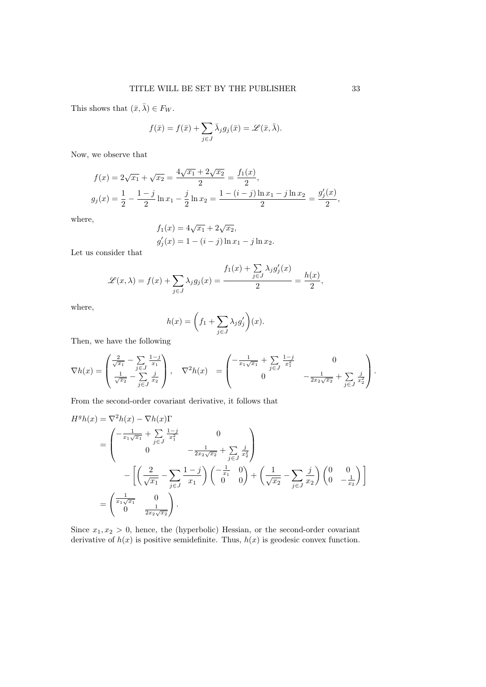This shows that  $(\bar{x}, \bar{\lambda}) \in F_W$ .

$$
f(\bar{x}) = f(\bar{x}) + \sum_{j \in J} \bar{\lambda}_j g_j(\bar{x}) = \mathscr{L}(\bar{x}, \bar{\lambda}).
$$

Now, we observe that

$$
f(x) = 2\sqrt{x_1} + \sqrt{x_2} = \frac{4\sqrt{x_1} + 2\sqrt{x_2}}{2} = \frac{f_1(x)}{2},
$$
  

$$
g_j(x) = \frac{1}{2} - \frac{1-j}{2} \ln x_1 - \frac{j}{2} \ln x_2 = \frac{1 - (i - j) \ln x_1 - j \ln x_2}{2} = \frac{g'_j(x)}{2},
$$

where,

$$
f_1(x) = 4\sqrt{x_1} + 2\sqrt{x_2},
$$
  
\n
$$
g'_j(x) = 1 - (i - j) \ln x_1 - j \ln x_2.
$$

Let us consider that

$$
\mathscr{L}(x,\lambda) = f(x) + \sum_{j \in J} \lambda_j g_j(x) = \frac{f_1(x) + \sum_{j \in J} \lambda_j g'_j(x)}{2} = \frac{h(x)}{2},
$$

where,

$$
h(x) = \left(f_1 + \sum_{j \in J} \lambda_j g'_j\right)(x).
$$

Then, we have the following

$$
\nabla h(x) = \begin{pmatrix} \frac{2}{\sqrt{x_1}} - \sum_{j \in J} \frac{1-j}{x_1} \\ \frac{1}{\sqrt{x_2}} - \sum_{j \in J} \frac{j}{x_2} \end{pmatrix}, \quad \nabla^2 h(x) = \begin{pmatrix} -\frac{1}{x_1\sqrt{x_1}} + \sum_{j \in J} \frac{1-j}{x_1^2} & 0 \\ 0 & -\frac{1}{2x_2\sqrt{x_2}} + \sum_{j \in J} \frac{j}{x_2^2} \end{pmatrix}.
$$

From the second-order covariant derivative, it follows that

$$
H^{g}h(x) = \nabla^{2}h(x) - \nabla h(x)\Gamma
$$
  
=  $\begin{pmatrix} -\frac{1}{x_{1}\sqrt{x_{1}}} + \sum_{j\in J} \frac{1-j}{x_{1}^{2}} & 0\\ 0 & -\frac{1}{2x_{2}\sqrt{x_{2}}} + \sum_{j\in J} \frac{j}{x_{2}^{2}} \end{pmatrix}$   
-  $\left[ \left( \frac{2}{\sqrt{x_{1}}} - \sum_{j\in J} \frac{1-j}{x_{1}} \right) \left( -\frac{1}{x_{1}} \right) 0 \right) + \left( \frac{1}{\sqrt{x_{2}}} - \sum_{j\in J} \frac{j}{x_{2}} \right) \left( 0 \right) - \frac{1}{x_{2}} \right]$   
=  $\begin{pmatrix} \frac{1}{x_{1}\sqrt{x_{1}}} & 0\\ 0 & \frac{1}{2x_{2}\sqrt{x_{2}}} \end{pmatrix}.$ 

Since  $x_1, x_2 > 0$ , hence, the (hyperbolic) Hessian, or the second-order covariant derivative of  $h(x)$  is positive semidefinite. Thus,  $h(x)$  is geodesic convex function.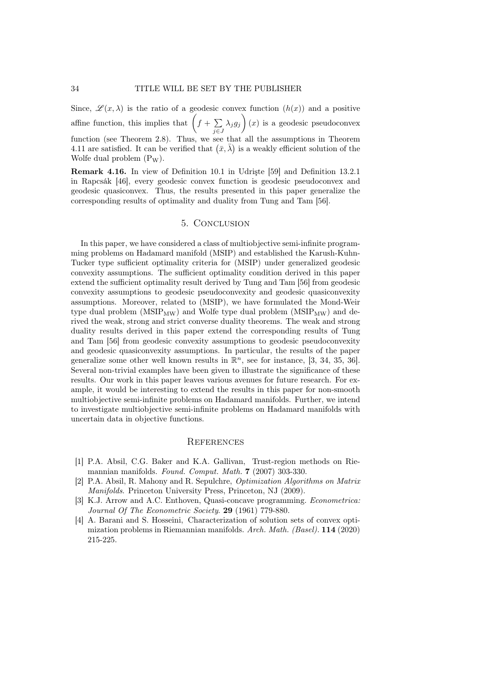Since,  $\mathscr{L}(x, \lambda)$  is the ratio of a geodesic convex function  $(h(x))$  and a positive affine function, this implies that  $(f + \sum$  $\sum_{j\in J} \lambda_j g_j$  (*x*) is a geodesic pseudoconvex function (see Theorem 2.8). Thus, we see that all the assumptions in Theorem 4.11 are satisfied. It can be verified that  $(\bar{x}, \bar{\lambda})$  is a weakly efficient solution of the Wolfe dual problem  $(P_W)$ .

Remark 4.16. In view of Definition 10.1 in Udrişte [59] and Definition 13.2.1 in Rapcsák [46], every geodesic convex function is geodesic pseudoconvex and geodesic quasiconvex. Thus, the results presented in this paper generalize the corresponding results of optimality and duality from Tung and Tam [56].

## 5. Conclusion

In this paper, we have considered a class of multiobjective semi-infinite programming problems on Hadamard manifold (MSIP) and established the Karush-Kuhn-Tucker type sufficient optimality criteria for (MSIP) under generalized geodesic convexity assumptions. The sufficient optimality condition derived in this paper extend the sufficient optimality result derived by Tung and Tam [56] from geodesic convexity assumptions to geodesic pseudoconvexity and geodesic quasiconvexity assumptions. Moreover, related to (MSIP), we have formulated the Mond-Weir type dual problem ( $MSIP_{MW}$ ) and Wolfe type dual problem ( $MSIP_{MW}$ ) and derived the weak, strong and strict converse duality theorems. The weak and strong duality results derived in this paper extend the corresponding results of Tung and Tam [56] from geodesic convexity assumptions to geodesic pseudoconvexity and geodesic quasiconvexity assumptions. In particular, the results of the paper generalize some other well known results in  $\mathbb{R}^n$ , see for instance, [3, 34, 35, 36]. Several non-trivial examples have been given to illustrate the significance of these results. Our work in this paper leaves various avenues for future research. For example, it would be interesting to extend the results in this paper for non-smooth multiobjective semi-infinite problems on Hadamard manifolds. Further, we intend to investigate multiobjective semi-infinite problems on Hadamard manifolds with uncertain data in objective functions.

#### **REFERENCES**

- [1] P.A. Absil, C.G. Baker and K.A. Gallivan, Trust-region methods on Riemannian manifolds. Found. Comput. Math. 7 (2007) 303-330.
- [2] P.A. Absil, R. Mahony and R. Sepulchre, Optimization Algorithms on Matrix Manifolds. Princeton University Press, Princeton, NJ (2009).
- [3] K.J. Arrow and A.C. Enthoven, Quasi-concave programming. Econometrica: Journal Of The Econometric Society. 29 (1961) 779-880.
- [4] A. Barani and S. Hosseini, Characterization of solution sets of convex optimization problems in Riemannian manifolds. Arch. Math. (Basel). 114 (2020) 215-225.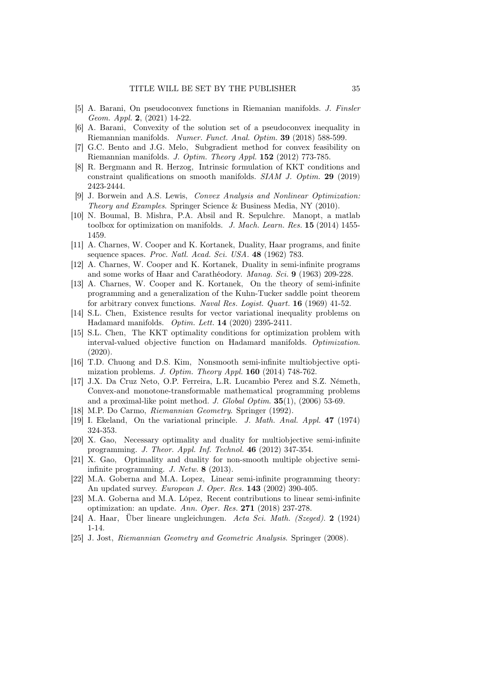- [5] A. Barani, On pseudoconvex functions in Riemanian manifolds. J. Finsler Geom. Appl. 2, (2021) 14-22.
- [6] A. Barani, Convexity of the solution set of a pseudoconvex inequality in Riemannian manifolds. Numer. Funct. Anal. Optim. 39 (2018) 588-599.
- [7] G.C. Bento and J.G. Melo, Subgradient method for convex feasibility on Riemannian manifolds. J. Optim. Theory Appl. 152 (2012) 773-785.
- [8] R. Bergmann and R. Herzog, Intrinsic formulation of KKT conditions and constraint qualifications on smooth manifolds. SIAM J. Optim. 29 (2019) 2423-2444.
- [9] J. Borwein and A.S. Lewis, Convex Analysis and Nonlinear Optimization: Theory and Examples. Springer Science & Business Media, NY (2010).
- [10] N. Boumal, B. Mishra, P.A. Absil and R. Sepulchre. Manopt, a matlab toolbox for optimization on manifolds. J. Mach. Learn. Res. 15 (2014) 1455-1459.
- [11] A. Charnes, W. Cooper and K. Kortanek, Duality, Haar programs, and finite sequence spaces. Proc. Natl. Acad. Sci. USA. 48 (1962) 783.
- [12] A. Charnes, W. Cooper and K. Kortanek, Duality in semi-infinite programs and some works of Haar and Carathéodory. Manag. Sci. 9 (1963) 209-228.
- [13] A. Charnes, W. Cooper and K. Kortanek, On the theory of semi-infinite programming and a generalization of the Kuhn-Tucker saddle point theorem for arbitrary convex functions. Naval Res. Logist. Quart. 16 (1969) 41-52.
- [14] S.L. Chen, Existence results for vector variational inequality problems on Hadamard manifolds. Optim. Lett. 14 (2020) 2395-2411.
- [15] S.L. Chen, The KKT optimality conditions for optimization problem with interval-valued objective function on Hadamard manifolds. Optimization. (2020).
- [16] T.D. Chuong and D.S. Kim, Nonsmooth semi-infinite multiobjective optimization problems. J. Optim. Theory Appl. 160 (2014) 748-762.
- [17] J.X. Da Cruz Neto, O.P. Ferreira, L.R. Lucambio Perez and S.Z. Németh, Convex-and monotone-transformable mathematical programming problems and a proximal-like point method. J. Global Optim. 35(1), (2006) 53-69.
- [18] M.P. Do Carmo, Riemannian Geometry. Springer (1992).
- [19] I. Ekeland, On the variational principle. J. Math. Anal. Appl. 47 (1974) 324-353.
- [20] X. Gao, Necessary optimality and duality for multiobjective semi-infinite programming. J. Theor. Appl. Inf. Technol. 46 (2012) 347-354.
- [21] X. Gao, Optimality and duality for non-smooth multiple objective semiinfinite programming. J. Netw. 8 (2013).
- [22] M.A. Goberna and M.A. Lopez, Linear semi-infinite programming theory: An updated survey. European J. Oper. Res. 143 (2002) 390-405.
- [23] M.A. Goberna and M.A. López, Recent contributions to linear semi-infinite optimization: an update. Ann. Oper. Res. 271 (2018) 237-278.
- [24] A. Haar, Über lineare ungleichungen. Acta Sci. Math. (Szeged). 2 (1924) 1-14.
- [25] J. Jost, Riemannian Geometry and Geometric Analysis. Springer (2008).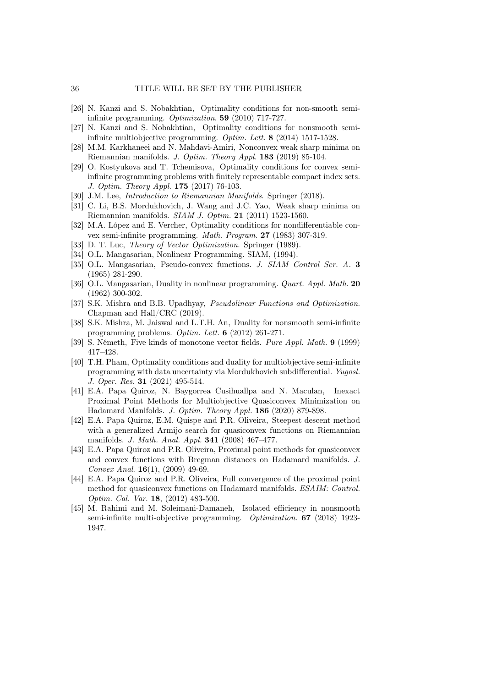- [26] N. Kanzi and S. Nobakhtian, Optimality conditions for non-smooth semiinfinite programming. Optimization. 59 (2010) 717-727.
- [27] N. Kanzi and S. Nobakhtian, Optimality conditions for nonsmooth semiinfinite multiobjective programming. Optim. Lett. 8 (2014) 1517-1528.
- [28] M.M. Karkhaneei and N. Mahdavi-Amiri, Nonconvex weak sharp minima on Riemannian manifolds. J. Optim. Theory Appl. 183 (2019) 85-104.
- [29] O. Kostyukova and T. Tchemisova, Optimality conditions for convex semiinfinite programming problems with finitely representable compact index sets. J. Optim. Theory Appl. 175 (2017) 76-103.
- [30] J.M. Lee, *Introduction to Riemannian Manifolds*. Springer (2018).
- [31] C. Li, B.S. Mordukhovich, J. Wang and J.C. Yao, Weak sharp minima on Riemannian manifolds. SIAM J. Optim. 21 (2011) 1523-1560.
- [32] M.A. López and E. Vercher, Optimality conditions for nondifferentiable convex semi-infinite programming. Math. Program. 27 (1983) 307-319.
- [33] D. T. Luc, *Theory of Vector Optimization*. Springer (1989).
- [34] O.L. Mangasarian, Nonlinear Programming. SIAM, (1994).
- [35] O.L. Mangasarian, Pseudo-convex functions. J. SIAM Control Ser. A. 3 (1965) 281-290.
- [36] O.L. Mangasarian, Duality in nonlinear programming. *Quart. Appl. Math.* 20 (1962) 300-302.
- [37] S.K. Mishra and B.B. Upadhyay, Pseudolinear Functions and Optimization. Chapman and Hall/CRC (2019).
- [38] S.K. Mishra, M. Jaiswal and L.T.H. An, Duality for nonsmooth semi-infinite programming problems. Optim. Lett. 6 (2012) 261-271.
- [39] S. Németh, Five kinds of monotone vector fields. Pure Appl. Math. 9 (1999) 417–428.
- [40] T.H. Pham, Optimality conditions and duality for multiobjective semi-infinite programming with data uncertainty via Mordukhovich subdifferential. Yugosl. J. Oper. Res. 31 (2021) 495-514.
- [41] E.A. Papa Quiroz, N. Baygorrea Cusihuallpa and N. Maculan, Inexact Proximal Point Methods for Multiobjective Quasiconvex Minimization on Hadamard Manifolds. J. Optim. Theory Appl. 186 (2020) 879-898.
- [42] E.A. Papa Quiroz, E.M. Quispe and P.R. Oliveira, Steepest descent method with a generalized Armijo search for quasiconvex functions on Riemannian manifolds. J. Math. Anal. Appl. 341 (2008) 467–477.
- [43] E.A. Papa Quiroz and P.R. Oliveira, Proximal point methods for quasiconvex and convex functions with Bregman distances on Hadamard manifolds. J. Convex Anal. 16(1), (2009) 49-69.
- [44] E.A. Papa Quiroz and P.R. Oliveira, Full convergence of the proximal point method for quasiconvex functions on Hadamard manifolds. ESAIM: Control. Optim. Cal. Var. 18, (2012) 483-500.
- [45] M. Rahimi and M. Soleimani-Damaneh, Isolated efficiency in nonsmooth semi-infinite multi-objective programming. Optimization. 67 (2018) 1923- 1947.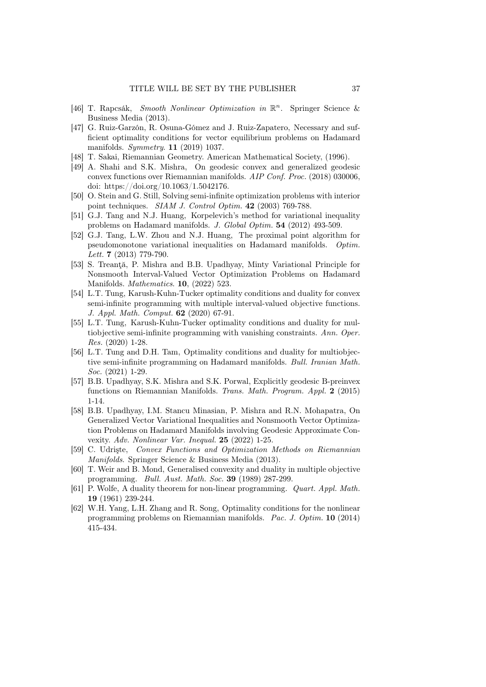- [46] T. Rapcsák, Smooth Nonlinear Optimization in  $\mathbb{R}^n$ . Springer Science & Business Media (2013).
- [47] G. Ruiz-Garzón, R. Osuna-Gómez and J. Ruiz-Zapatero, Necessary and sufficient optimality conditions for vector equilibrium problems on Hadamard manifolds. Symmetry. 11 (2019) 1037.
- [48] T. Sakai, Riemannian Geometry. American Mathematical Society, (1996).
- [49] A. Shahi and S.K. Mishra, On geodesic convex and generalized geodesic convex functions over Riemannian manifolds. AIP Conf. Proc. (2018) 030006, doi: https://doi.org/10.1063/1.5042176.
- [50] O. Stein and G. Still, Solving semi-infinite optimization problems with interior point techniques. SIAM J. Control Optim. 42 (2003) 769-788.
- [51] G.J. Tang and N.J. Huang, Korpelevich's method for variational inequality problems on Hadamard manifolds. J. Global Optim. 54 (2012) 493-509.
- [52] G.J. Tang, L.W. Zhou and N.J. Huang, The proximal point algorithm for pseudomonotone variational inequalities on Hadamard manifolds. Optim. Lett. **7** (2013) 779-790.
- [53] S. Treanţă, P. Mishra and B.B. Upadhyay, Minty Variational Principle for Nonsmooth Interval-Valued Vector Optimization Problems on Hadamard Manifolds. Mathematics. 10, (2022) 523.
- [54] L.T. Tung, Karush-Kuhn-Tucker optimality conditions and duality for convex semi-infinite programming with multiple interval-valued objective functions. J. Appl. Math. Comput. 62 (2020) 67-91.
- [55] L.T. Tung, Karush-Kuhn-Tucker optimality conditions and duality for multiobjective semi-infinite programming with vanishing constraints. Ann. Oper. Res. (2020) 1-28.
- [56] L.T. Tung and D.H. Tam, Optimality conditions and duality for multiobjective semi-infinite programming on Hadamard manifolds. Bull. Iranian Math. Soc. (2021) 1-29.
- [57] B.B. Upadhyay, S.K. Mishra and S.K. Porwal, Explicitly geodesic B-preinvex functions on Riemannian Manifolds. Trans. Math. Program. Appl. 2 (2015) 1-14.
- [58] B.B. Upadhyay, I.M. Stancu Minasian, P. Mishra and R.N. Mohapatra, On Generalized Vector Variational Inequalities and Nonsmooth Vector Optimization Problems on Hadamard Manifolds involving Geodesic Approximate Convexity. Adv. Nonlinear Var. Inequal. 25 (2022) 1-25.
- [59] C. Udrişte, Convex Functions and Optimization Methods on Riemannian Manifolds. Springer Science & Business Media (2013).
- [60] T. Weir and B. Mond, Generalised convexity and duality in multiple objective programming. Bull. Aust. Math. Soc. 39 (1989) 287-299.
- [61] P. Wolfe, A duality theorem for non-linear programming. Quart. Appl. Math. 19 (1961) 239-244.
- [62] W.H. Yang, L.H. Zhang and R. Song, Optimality conditions for the nonlinear programming problems on Riemannian manifolds. Pac. J. Optim. 10 (2014) 415-434.